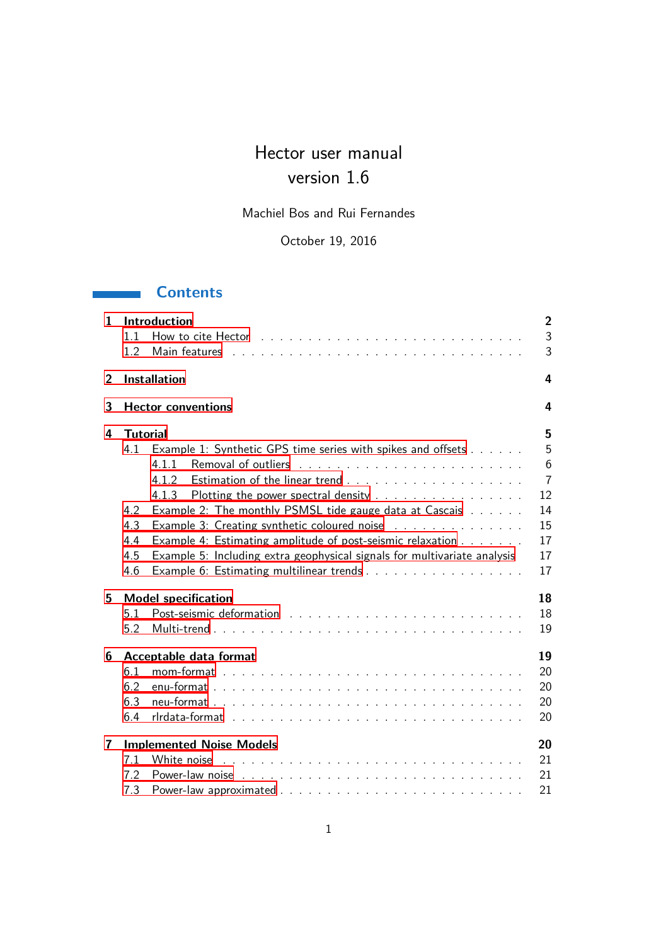# Hector user manual version 1.6

Machiel Bos and Rui Fernandes

October 19, 2016

## **Contents**

| $\mathbf{1}$ | <b>Introduction</b><br>11<br>1.2                                                                                                                                                                                                                                                                                                                                                                                                                                          | $\overline{2}$<br>3<br>3                                     |
|--------------|---------------------------------------------------------------------------------------------------------------------------------------------------------------------------------------------------------------------------------------------------------------------------------------------------------------------------------------------------------------------------------------------------------------------------------------------------------------------------|--------------------------------------------------------------|
| 2            | <b>Installation</b>                                                                                                                                                                                                                                                                                                                                                                                                                                                       | 4                                                            |
| 3            | <b>Hector conventions</b>                                                                                                                                                                                                                                                                                                                                                                                                                                                 | 4                                                            |
| 4            | <b>Tutorial</b>                                                                                                                                                                                                                                                                                                                                                                                                                                                           | 5                                                            |
|              | Example 1: Synthetic GPS time series with spikes and offsets<br>4.1<br>4.1.1<br>4.1.2<br>Plotting the power spectral density<br>4.1.3<br>Example 2: The monthly PSMSL tide gauge data at Cascais<br>4.2<br>4.3<br>Example 3: Creating synthetic coloured noise<br>Example 4: Estimating amplitude of post-seismic relaxation<br>4.4<br>Example 5: Including extra geophysical signals for multivariate analysis<br>4.5<br>Example 6: Estimating multilinear trends<br>4.6 | 5<br>6<br>$\overline{7}$<br>12<br>14<br>15<br>17<br>17<br>17 |
| 5            | <b>Model specification</b><br>5.1<br>5.2                                                                                                                                                                                                                                                                                                                                                                                                                                  | 18<br>18<br>19                                               |
| 6            | Acceptable data format                                                                                                                                                                                                                                                                                                                                                                                                                                                    | 19                                                           |
|              | 6.1<br>6.2<br>6.3<br>6.4                                                                                                                                                                                                                                                                                                                                                                                                                                                  | 20<br>20<br>20<br>20                                         |
| 7            | <b>Implemented Noise Models</b>                                                                                                                                                                                                                                                                                                                                                                                                                                           | 20                                                           |
|              | 7.1                                                                                                                                                                                                                                                                                                                                                                                                                                                                       | 21                                                           |
|              | 7.2                                                                                                                                                                                                                                                                                                                                                                                                                                                                       | 21                                                           |
|              | 7.3                                                                                                                                                                                                                                                                                                                                                                                                                                                                       | 21                                                           |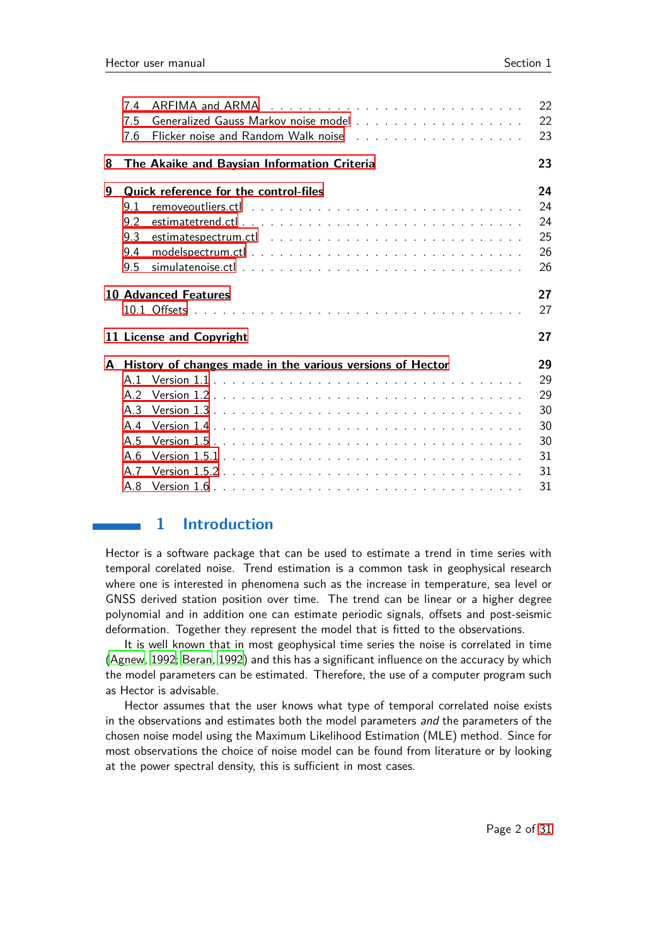|   | 7.4   |                                                           | 22 |
|---|-------|-----------------------------------------------------------|----|
|   | 7.5   |                                                           | 22 |
|   | 7.6   |                                                           | 23 |
| 8 |       | The Akaike and Baysian Information Criteria               | 23 |
| 9 |       | Quick reference for the control-files                     | 24 |
|   | 9.1   |                                                           | 24 |
|   | 9.2   |                                                           | 24 |
|   | 9.3   |                                                           | 25 |
|   | 9.4   |                                                           | 26 |
|   | 9.5   |                                                           | 26 |
|   |       | <b>10 Advanced Features</b>                               | 27 |
|   |       |                                                           | 27 |
|   |       | 11 License and Copyright                                  | 27 |
| A |       | History of changes made in the various versions of Hector | 29 |
|   | A 1   |                                                           | 29 |
|   |       |                                                           |    |
|   | A.2   |                                                           | 29 |
|   | A.3   |                                                           | 30 |
|   | A.4   |                                                           | 30 |
|   | A.5   |                                                           | 30 |
|   | A $6$ |                                                           | 31 |
|   | A.7   |                                                           | 31 |

## <span id="page-1-0"></span>**1 Introduction**

Hector is a software package that can be used to estimate a trend in time series with temporal corelated noise. Trend estimation is a common task in geophysical research where one is interested in phenomena such as the increase in temperature, sea level or GNSS derived station position over time. The trend can be linear or a higher degree polynomial and in addition one can estimate periodic signals, offsets and post-seismic deformation. Together they represent the model that is fitted to the observations.

It is well known that in most geophysical time series the noise is correlated in time [\(Agnew, 1992](#page-26-3); [Beran, 1992](#page-26-4)) and this has a significant influence on the accuracy by which the model parameters can be estimated. Therefore, the use of a computer program such as Hector is advisable.

Hector assumes that the user knows what type of temporal correlated noise exists in the observations and estimates both the model parameters and the parameters of the chosen noise model using the Maximum Likelihood Estimation (MLE) method. Since for most observations the choice of noise model can be found from literature or by looking at the power spectral density, this is sufficient in most cases.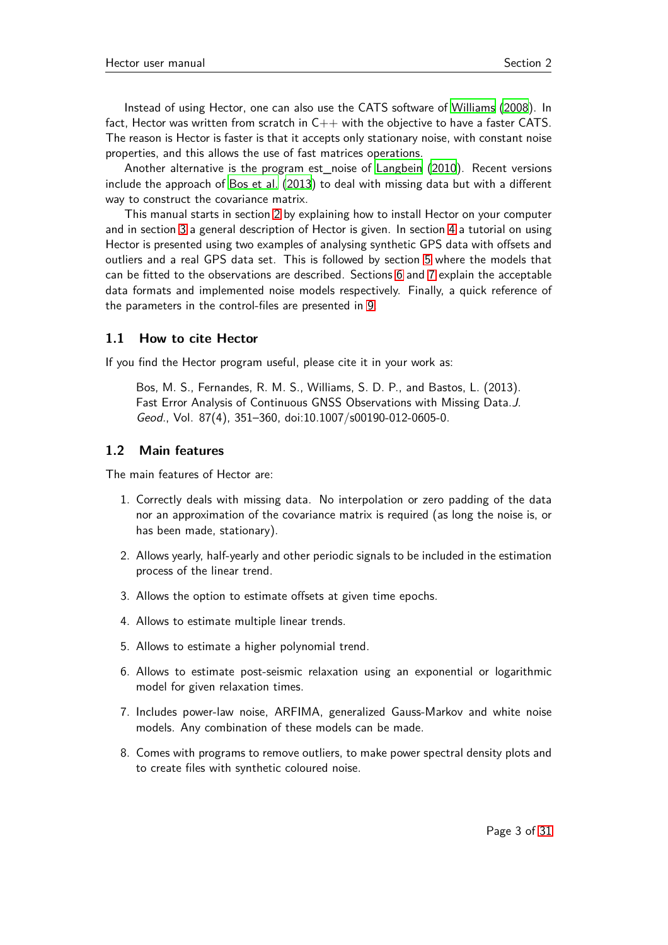Instead of using Hector, one can also use the CATS software of [Williams](#page-27-0) [\(2008\)](#page-27-0). In fact, Hector was written from scratch in  $C++$  with the objective to have a faster CATS. The reason is Hector is faster is that it accepts only stationary noise, with constant noise properties, and this allows the use of fast matrices operations.

Another alternative is the program est\_noise of [Langbein](#page-27-1) [\(2010\)](#page-27-1). Recent versions include the approach of [Bos et al.](#page-26-5) [\(2013](#page-26-5)) to deal with missing data but with a different way to construct the covariance matrix.

This manual starts in section [2](#page-3-0) by explaining how to install Hector on your computer and in section [3](#page-3-1) a general description of Hector is given. In section [4](#page-4-0) a tutorial on using Hector is presented using two examples of analysing synthetic GPS data with offsets and outliers and a real GPS data set. This is followed by section [5](#page-17-0) where the models that can be fitted to the observations are described. Sections [6](#page-18-1) and [7](#page-19-4) explain the acceptable data formats and implemented noise models respectively. Finally, a quick reference of the parameters in the control-files are presented in [9.](#page-23-0)

#### <span id="page-2-0"></span>**1.1 How to cite Hector**

If you find the Hector program useful, please cite it in your work as:

Bos, M. S., Fernandes, R. M. S., Williams, S. D. P., and Bastos, L. (2013). Fast Error Analysis of Continuous GNSS Observations with Missing Data.J. Geod., Vol. 87(4), 351–360, doi:10.1007/s00190-012-0605-0.

#### <span id="page-2-1"></span>**1.2 Main features**

The main features of Hector are:

- 1. Correctly deals with missing data. No interpolation or zero padding of the data nor an approximation of the covariance matrix is required (as long the noise is, or has been made, stationary).
- 2. Allows yearly, half-yearly and other periodic signals to be included in the estimation process of the linear trend.
- 3. Allows the option to estimate offsets at given time epochs.
- 4. Allows to estimate multiple linear trends.
- 5. Allows to estimate a higher polynomial trend.
- 6. Allows to estimate post-seismic relaxation using an exponential or logarithmic model for given relaxation times.
- 7. Includes power-law noise, ARFIMA, generalized Gauss-Markov and white noise models. Any combination of these models can be made.
- 8. Comes with programs to remove outliers, to make power spectral density plots and to create files with synthetic coloured noise.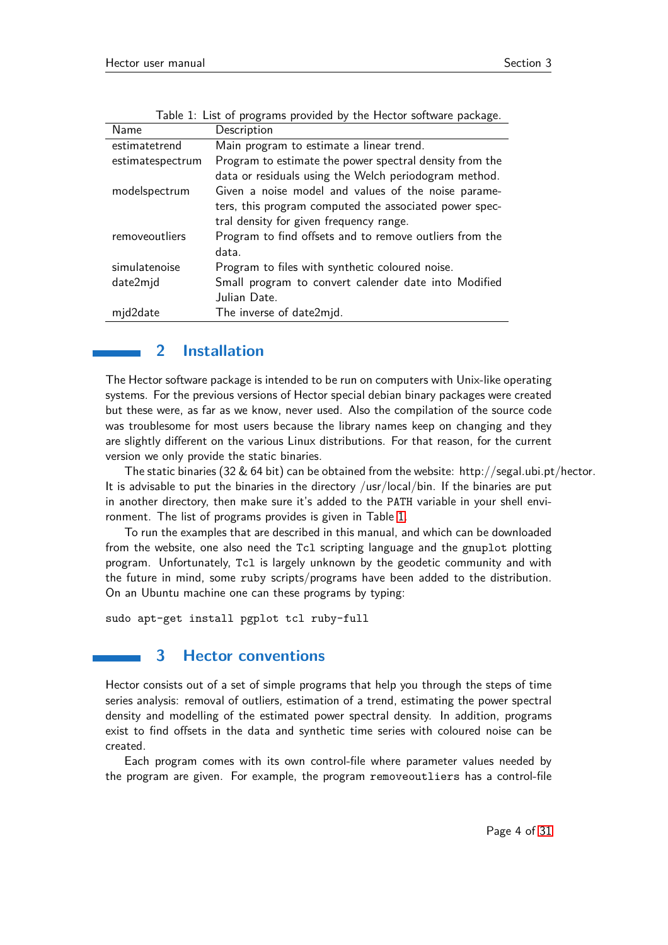| Name             | Description                                             |
|------------------|---------------------------------------------------------|
| estimatetrend    | Main program to estimate a linear trend.                |
| estimatespectrum | Program to estimate the power spectral density from the |
|                  | data or residuals using the Welch periodogram method.   |
| modelspectrum    | Given a noise model and values of the noise parame-     |
|                  | ters, this program computed the associated power spec-  |
|                  | tral density for given frequency range.                 |
| removeoutliers   | Program to find offsets and to remove outliers from the |
|                  | data.                                                   |
| simulatenoise    | Program to files with synthetic coloured noise.         |
| date2mjd         | Small program to convert calender date into Modified    |
|                  | Julian Date.                                            |
| mjd2date         | The inverse of date2mjd.                                |

<span id="page-3-2"></span>

| Table 1: List of programs provided by the Hector software package. |  |
|--------------------------------------------------------------------|--|
|--------------------------------------------------------------------|--|

## <span id="page-3-0"></span>**2 Installation**

The Hector software package is intended to be run on computers with Unix-like operating systems. For the previous versions of Hector special debian binary packages were created but these were, as far as we know, never used. Also the compilation of the source code was troublesome for most users because the library names keep on changing and they are slightly different on the various Linux distributions. For that reason, for the current version we only provide the static binaries.

The static binaries (32 & 64 bit) can be obtained from the website: http://segal.ubi.pt/hector. It is advisable to put the binaries in the directory /usr/local/bin. If the binaries are put in another directory, then make sure it's added to the PATH variable in your shell environment. The list of programs provides is given in Table [1.](#page-3-2)

To run the examples that are described in this manual, and which can be downloaded from the website, one also need the Tcl scripting language and the gnuplot plotting program. Unfortunately, Tcl is largely unknown by the geodetic community and with the future in mind, some ruby scripts/programs have been added to the distribution. On an Ubuntu machine one can these programs by typing:

<span id="page-3-1"></span>sudo apt-get install pgplot tcl ruby-full

## **3 Hector conventions**

Hector consists out of a set of simple programs that help you through the steps of time series analysis: removal of outliers, estimation of a trend, estimating the power spectral density and modelling of the estimated power spectral density. In addition, programs exist to find offsets in the data and synthetic time series with coloured noise can be created.

Each program comes with its own control-file where parameter values needed by the program are given. For example, the program removeoutliers has a control-file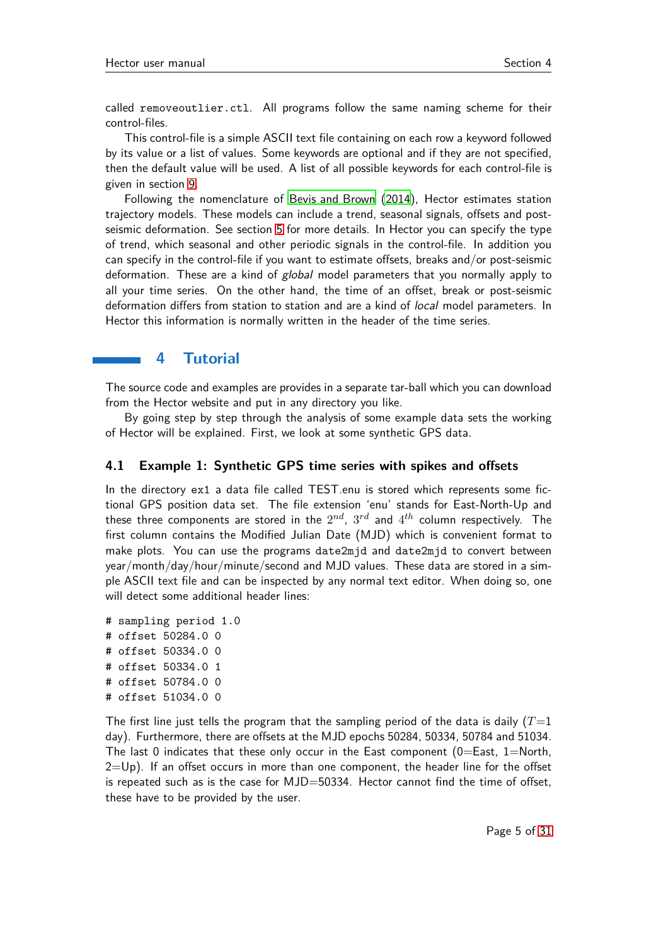called removeoutlier.ctl. All programs follow the same naming scheme for their control-files.

This control-file is a simple ASCII text file containing on each row a keyword followed by its value or a list of values. Some keywords are optional and if they are not specified, then the default value will be used. A list of all possible keywords for each control-file is given in section [9.](#page-23-0)

Following the nomenclature of [Bevis and Brown](#page-26-6) [\(2014](#page-26-6)), Hector estimates station trajectory models. These models can include a trend, seasonal signals, offsets and postseismic deformation. See section [5](#page-17-0) for more details. In Hector you can specify the type of trend, which seasonal and other periodic signals in the control-file. In addition you can specify in the control-file if you want to estimate offsets, breaks and/or post-seismic deformation. These are a kind of global model parameters that you normally apply to all your time series. On the other hand, the time of an offset, break or post-seismic deformation differs from station to station and are a kind of local model parameters. In Hector this information is normally written in the header of the time series.

## <span id="page-4-0"></span>**4 Tutorial**

The source code and examples are provides in a separate tar-ball which you can download from the Hector website and put in any directory you like.

By going step by step through the analysis of some example data sets the working of Hector will be explained. First, we look at some synthetic GPS data.

#### <span id="page-4-1"></span>**4.1 Example 1: Synthetic GPS time series with spikes and offsets**

In the directory ex1 a data file called TEST.enu is stored which represents some fictional GPS position data set. The file extension 'enu' stands for East-North-Up and these three components are stored in the  $2^{nd}$ ,  $3^{rd}$  and  $4^{th}$  column respectively. The first column contains the Modified Julian Date (MJD) which is convenient format to make plots. You can use the programs date2mjd and date2mjd to convert between year/month/day/hour/minute/second and MJD values. These data are stored in a simple ASCII text file and can be inspected by any normal text editor. When doing so, one will detect some additional header lines:

# sampling period 1.0 # offset 50284.0 0 # offset 50334.0 0 # offset 50334.0 1 # offset 50784.0 0 # offset 51034.0 0

The first line just tells the program that the sampling period of the data is daily  $(T=1)$ day). Furthermore, there are offsets at the MJD epochs 50284, 50334, 50784 and 51034. The last 0 indicates that these only occur in the East component  $(0=Ex, 1=North,$  $2=Up$ ). If an offset occurs in more than one component, the header line for the offset is repeated such as is the case for  $MJD=50334$ . Hector cannot find the time of offset, these have to be provided by the user.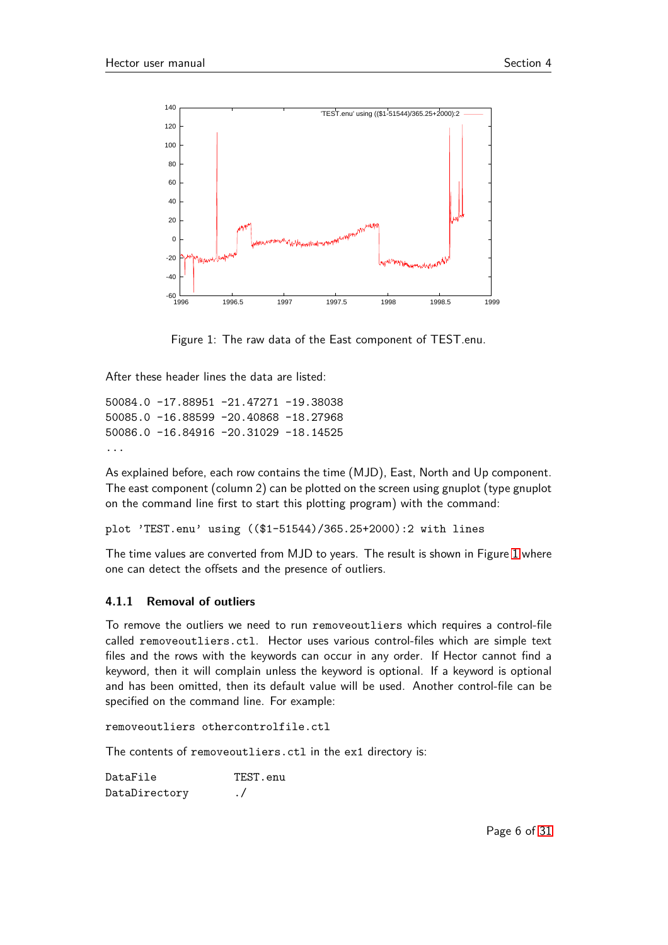

<span id="page-5-1"></span>Figure 1: The raw data of the East component of TEST.enu.

After these header lines the data are listed:

```
50084.0 -17.88951 -21.47271 -19.38038
50085.0 -16.88599 -20.40868 -18.27968
50086.0 -16.84916 -20.31029 -18.14525
...
```
As explained before, each row contains the time (MJD), East, North and Up component. The east component (column 2) can be plotted on the screen using gnuplot (type gnuplot on the command line first to start this plotting program) with the command:

```
plot 'TEST.enu' using (($1-51544)/365.25+2000):2 with lines
```
The time values are converted from MJD to years. The result is shown in Figure [1](#page-5-1) where one can detect the offsets and the presence of outliers.

#### <span id="page-5-0"></span>**4.1.1 Removal of outliers**

To remove the outliers we need to run removeoutliers which requires a control-file called removeoutliers.ctl. Hector uses various control-files which are simple text files and the rows with the keywords can occur in any order. If Hector cannot find a keyword, then it will complain unless the keyword is optional. If a keyword is optional and has been omitted, then its default value will be used. Another control-file can be specified on the command line. For example:

removeoutliers othercontrolfile.ctl

The contents of removeoutliers.ctl in the ex1 directory is:

DataFile TEST.enu DataDirectory ./

Page 6 of [31](#page-30-3)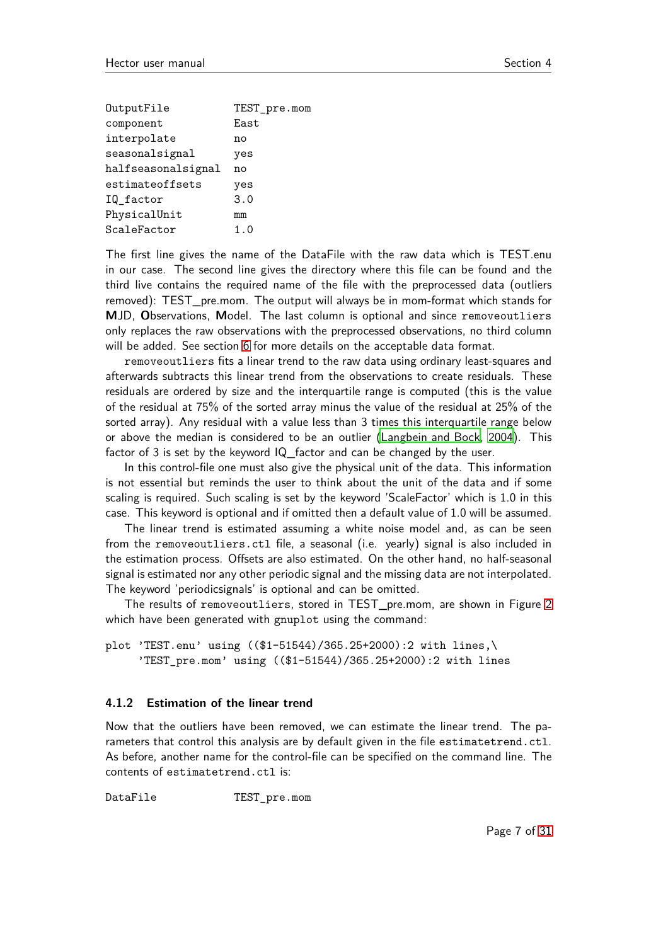| OutputFile         | TEST_pre.mom |
|--------------------|--------------|
| component          | East         |
| interpolate        | no           |
| seasonalsignal     | yes          |
| halfseasonalsignal | no           |
| estimateoffsets    | yes          |
| IQ_factor          | 3.0          |
| PhysicalUnit       | mm           |
| ScaleFactor        | 1.0          |

The first line gives the name of the DataFile with the raw data which is TEST.enu in our case. The second line gives the directory where this file can be found and the third live contains the required name of the file with the preprocessed data (outliers removed): TEST\_pre.mom. The output will always be in mom-format which stands for **M**JD, **O**bservations, **M**odel. The last column is optional and since removeoutliers only replaces the raw observations with the preprocessed observations, no third column will be added. See section [6](#page-18-1) for more details on the acceptable data format.

removeoutliers fits a linear trend to the raw data using ordinary least-squares and afterwards subtracts this linear trend from the observations to create residuals. These residuals are ordered by size and the interquartile range is computed (this is the value of the residual at 75% of the sorted array minus the value of the residual at 25% of the sorted array). Any residual with a value less than 3 times this interquartile range below or above the median is considered to be an outlier [\(Langbein and Bock, 2004\)](#page-27-2). This factor of 3 is set by the keyword IQ factor and can be changed by the user.

In this control-file one must also give the physical unit of the data. This information is not essential but reminds the user to think about the unit of the data and if some scaling is required. Such scaling is set by the keyword 'ScaleFactor' which is 1.0 in this case. This keyword is optional and if omitted then a default value of 1.0 will be assumed.

The linear trend is estimated assuming a white noise model and, as can be seen from the removeoutliers.ctl file, a seasonal (i.e. yearly) signal is also included in the estimation process. Offsets are also estimated. On the other hand, no half-seasonal signal is estimated nor any other periodic signal and the missing data are not interpolated. The keyword 'periodicsignals' is optional and can be omitted.

The results of removeoutliers, stored in TEST\_pre.mom, are shown in Figure [2](#page-7-0) which have been generated with gnuplot using the command:

plot 'TEST.enu' using ((\$1-51544)/365.25+2000):2 with lines,\ 'TEST\_pre.mom' using ((\$1-51544)/365.25+2000):2 with lines

#### <span id="page-6-0"></span>**4.1.2 Estimation of the linear trend**

Now that the outliers have been removed, we can estimate the linear trend. The parameters that control this analysis are by default given in the file estimatetrend.ctl. As before, another name for the control-file can be specified on the command line. The contents of estimatetrend.ctl is:

DataFile TEST pre.mom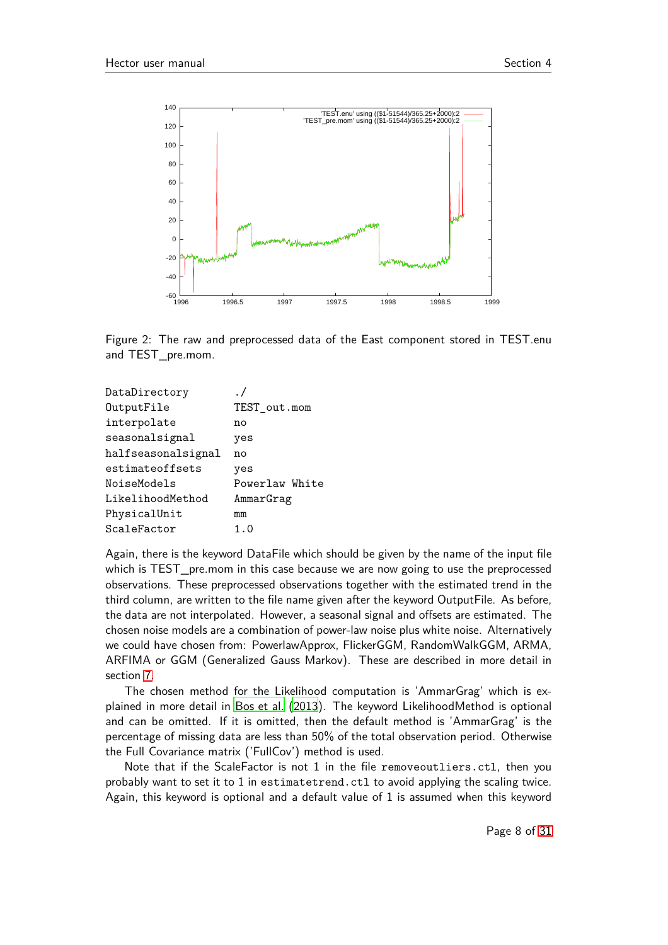

<span id="page-7-0"></span>Figure 2: The raw and preprocessed data of the East component stored in TEST.enu and TEST\_pre.mom.

| DataDirectory      |                |
|--------------------|----------------|
| OutputFile         | TEST_out.mom   |
| interpolate        | no             |
| seasonalsignal     | yes            |
| halfseasonalsignal | n٥             |
| estimateoffsets    | yes            |
| NoiseModels        | Powerlaw White |
| LikelihoodMethod   | AmmarGrag      |
| PhysicalUnit       | mm             |
| ScaleFactor        | 1.0            |

Again, there is the keyword DataFile which should be given by the name of the input file which is TEST\_pre.mom in this case because we are now going to use the preprocessed observations. These preprocessed observations together with the estimated trend in the third column, are written to the file name given after the keyword OutputFile. As before, the data are not interpolated. However, a seasonal signal and offsets are estimated. The chosen noise models are a combination of power-law noise plus white noise. Alternatively we could have chosen from: PowerlawApprox, FlickerGGM, RandomWalkGGM, ARMA, ARFIMA or GGM (Generalized Gauss Markov). These are described in more detail in section [7.](#page-19-4)

The chosen method for the Likelihood computation is 'AmmarGrag' which is explained in more detail in [Bos et al. \(2013](#page-26-5)). The keyword LikelihoodMethod is optional and can be omitted. If it is omitted, then the default method is 'AmmarGrag' is the percentage of missing data are less than 50% of the total observation period. Otherwise the Full Covariance matrix ('FullCov') method is used.

Note that if the ScaleFactor is not 1 in the file removeoutliers.ctl, then you probably want to set it to 1 in estimatetrend.ctl to avoid applying the scaling twice. Again, this keyword is optional and a default value of 1 is assumed when this keyword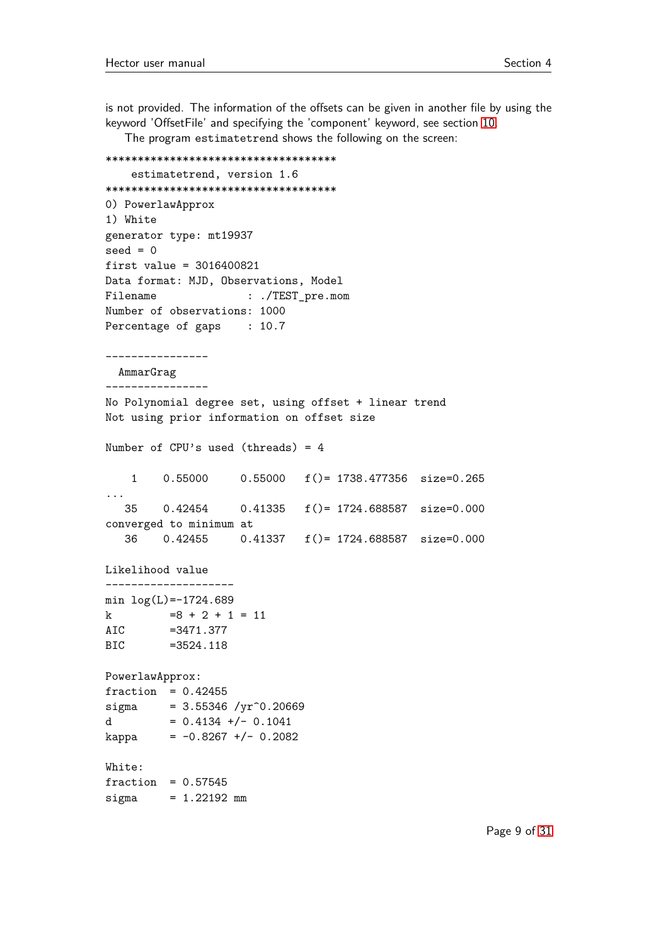is not provided. The information of the offsets can be given in another file by using the keyword 'OffsetFile' and specifying the 'component' keyword, see section [10.](#page-26-0)

The program estimatetrend shows the following on the screen:

```
************************************
   estimatetrend, version 1.6
************************************
0) PowerlawApprox
1) White
generator type: mt19937
seed = 0first value = 3016400821
Data format: MJD, Observations, Model
Filename : ./TEST_pre.mom
Number of observations: 1000
Percentage of gaps : 10.7
----------------
 AmmarGrag
----------------
No Polynomial degree set, using offset + linear trend
Not using prior information on offset size
Number of CPU's used (threads) = 4
   1 0.55000 0.55000 f()= 1738.477356 size=0.265
...
  35 0.42454 0.41335 f()= 1724.688587 size=0.000
converged to minimum at
  36 0.42455 0.41337 f()= 1724.688587 size=0.000
Likelihood value
--------------------
min log(L) = -1724.689k =8 + 2 + 1 = 11AIC =3471.377
BIC =3524.118
PowerlawApprox:
fraction = 0.42455signa = 3.55346 / yr^0.20669d = 0.4134 +/- 0.1041
kappa = -0.8267 +/- 0.2082
White:
fraction = 0.57545signa = 1.22192 mm
```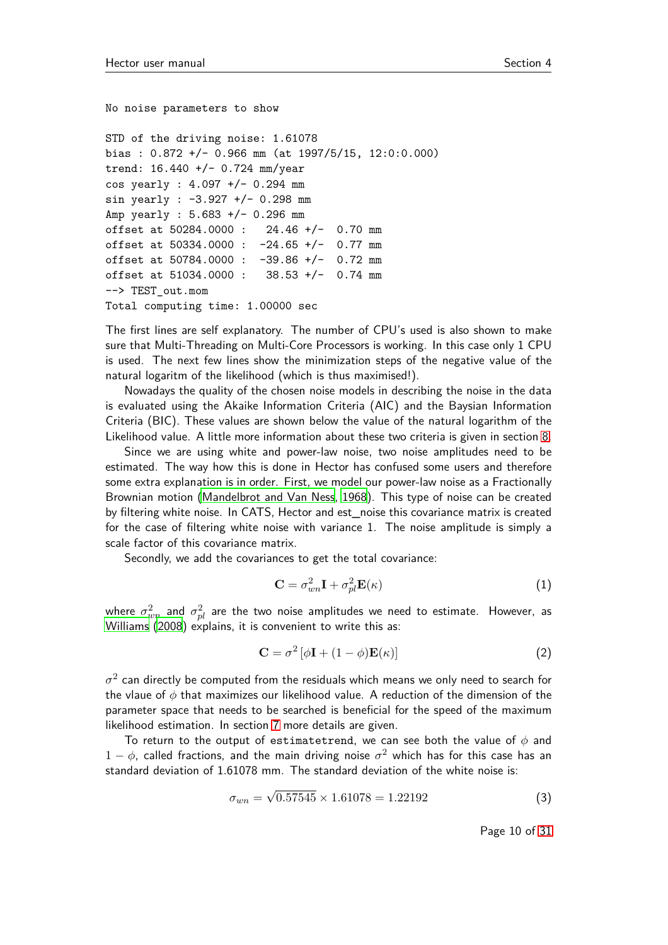No noise parameters to show

```
STD of the driving noise: 1.61078
bias : 0.872 +/- 0.966 mm (at 1997/5/15, 12:0:0.000)
trend: 16.440 +/- 0.724 mm/year
cos yearly : 4.097 +/- 0.294 mm
sin yearly : -3.927 +/- 0.298 mm
Amp yearly : 5.683 +/- 0.296 mm
offset at 50284.0000 : 24.46 +/- 0.70 mm
offset at 50334.0000 : -24.65 +/- 0.77 mm
offset at 50784.0000 : -39.86 +/- 0.72 mm
offset at 51034.0000 : 38.53 +/- 0.74 mm
--> TEST_out.mom
Total computing time: 1.00000 sec
```
The first lines are self explanatory. The number of CPU's used is also shown to make sure that Multi-Threading on Multi-Core Processors is working. In this case only 1 CPU is used. The next few lines show the minimization steps of the negative value of the natural logaritm of the likelihood (which is thus maximised!).

Nowadays the quality of the chosen noise models in describing the noise in the data is evaluated using the Akaike Information Criteria (AIC) and the Baysian Information Criteria (BIC). These values are shown below the value of the natural logarithm of the Likelihood value. A little more information about these two criteria is given in section [8.](#page-22-1)

Since we are using white and power-law noise, two noise amplitudes need to be estimated. The way how this is done in Hector has confused some users and therefore some extra explanation is in order. First, we model our power-law noise as a Fractionally Brownian motion [\(Mandelbrot and Van Ness](#page-27-3), [1968\)](#page-27-3). This type of noise can be created by filtering white noise. In CATS, Hector and est\_noise this covariance matrix is created for the case of filtering white noise with variance 1. The noise amplitude is simply a scale factor of this covariance matrix.

Secondly, we add the covariances to get the total covariance:

$$
\mathbf{C} = \sigma_{wn}^2 \mathbf{I} + \sigma_{pl}^2 \mathbf{E}(\kappa)
$$
 (1)

where  $\sigma_{wn}^2$  and  $\sigma_{pl}^2$  are the two noise amplitudes we need to estimate. However, as [Williams](#page-27-0) [\(2008](#page-27-0)) explains, it is convenient to write this as:

$$
\mathbf{C} = \sigma^2 \left[ \phi \mathbf{I} + (1 - \phi) \mathbf{E}(\kappa) \right]
$$
 (2)

 $\sigma^2$  can directly be computed from the residuals which means we only need to search for the vlaue of *φ* that maximizes our likelihood value. A reduction of the dimension of the parameter space that needs to be searched is beneficial for the speed of the maximum likelihood estimation. In section [7](#page-19-4) more details are given.

To return to the output of estimatetrend, we can see both the value of *φ* and  $1 - \phi$ , called fractions, and the main driving noise  $\sigma^2$  which has for this case has an standard deviation of 1.61078 mm. The standard deviation of the white noise is:

$$
\sigma_{wn} = \sqrt{0.57545} \times 1.61078 = 1.22192 \tag{3}
$$

Page 10 of [31](#page-30-3)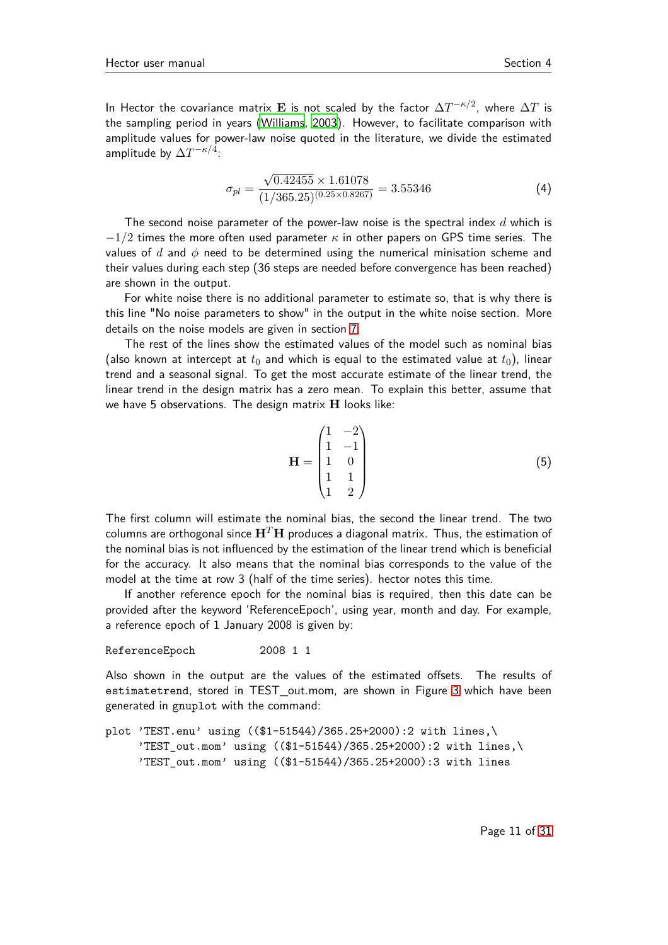In Hector the covariance matrix  ${\bf E}$  is not scaled by the factor  $\Delta T^{-\kappa/2}$ , where  $\Delta T$  is the sampling period in years [\(Williams](#page-27-4), [2003](#page-27-4)). However, to facilitate comparison with amplitude values for power-law noise quoted in the literature, we divide the estimated amplitude by  $\Delta T^{-\kappa/4}$ :

$$
\sigma_{pl} = \frac{\sqrt{0.42455} \times 1.61078}{(1/365.25)^{(0.25 \times 0.8267)}} = 3.55346
$$
\n(4)

The second noise parameter of the power-law noise is the spectral index *d* which is −1*/*2 times the more often used parameter *κ* in other papers on GPS time series. The values of *d* and *φ* need to be determined using the numerical minisation scheme and their values during each step (36 steps are needed before convergence has been reached) are shown in the output.

For white noise there is no additional parameter to estimate so, that is why there is this line "No noise parameters to show" in the output in the white noise section. More details on the noise models are given in section [7.](#page-19-4)

The rest of the lines show the estimated values of the model such as nominal bias (also known at intercept at  $t_0$  and which is equal to the estimated value at  $t_0$ ), linear trend and a seasonal signal. To get the most accurate estimate of the linear trend, the linear trend in the design matrix has a zero mean. To explain this better, assume that we have 5 observations. The design matrix **H** looks like:

$$
\mathbf{H} = \begin{pmatrix} 1 & -2 \\ 1 & -1 \\ 1 & 0 \\ 1 & 1 \\ 1 & 2 \end{pmatrix}
$$
 (5)

The first column will estimate the nominal bias, the second the linear trend. The two columns are orthogonal since  $H<sup>T</sup>H$  produces a diagonal matrix. Thus, the estimation of the nominal bias is not influenced by the estimation of the linear trend which is beneficial for the accuracy. It also means that the nominal bias corresponds to the value of the model at the time at row 3 (half of the time series). hector notes this time.

If another reference epoch for the nominal bias is required, then this date can be provided after the keyword 'ReferenceEpoch', using year, month and day. For example, a reference epoch of 1 January 2008 is given by:

ReferenceEpoch 2008 1 1

Also shown in the output are the values of the estimated offsets. The results of estimatetrend, stored in TEST\_out.mom, are shown in Figure [3](#page-11-1) which have been generated in gnuplot with the command:

```
plot 'TEST.enu' using (($1-51544)/365.25+2000):2 with lines,\
     'TEST_out.mom' using (($1-51544)/365.25+2000):2 with lines,\
     'TEST_out.mom' using (($1-51544)/365.25+2000):3 with lines
```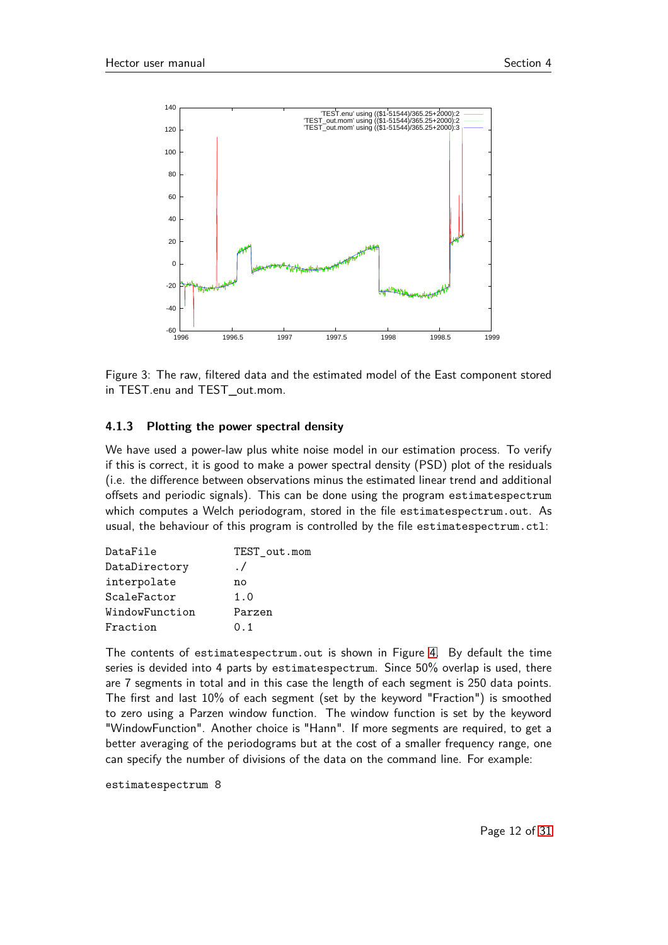

<span id="page-11-1"></span>Figure 3: The raw, filtered data and the estimated model of the East component stored in TEST.enu and TEST out.mom.

#### <span id="page-11-0"></span>**4.1.3 Plotting the power spectral density**

We have used a power-law plus white noise model in our estimation process. To verify if this is correct, it is good to make a power spectral density (PSD) plot of the residuals (i.e. the difference between observations minus the estimated linear trend and additional offsets and periodic signals). This can be done using the program estimatespectrum which computes a Welch periodogram, stored in the file estimatespectrum.out. As usual, the behaviour of this program is controlled by the file estimatespectrum.ctl:

| DataFile       | TEST out.mom |
|----------------|--------------|
| DataDirectory  | $\cdot$ /    |
| interpolate    | no           |
| ScaleFactor    | 1.0          |
| WindowFunction | Parzen       |
| Fraction       | 0.1          |

The contents of estimatespectrum.out is shown in Figure [4.](#page-13-1) By default the time series is devided into 4 parts by estimatespectrum. Since 50% overlap is used, there are 7 segments in total and in this case the length of each segment is 250 data points. The first and last 10% of each segment (set by the keyword "Fraction") is smoothed to zero using a Parzen window function. The window function is set by the keyword "WindowFunction". Another choice is "Hann". If more segments are required, to get a better averaging of the periodograms but at the cost of a smaller frequency range, one can specify the number of divisions of the data on the command line. For example:

estimatespectrum 8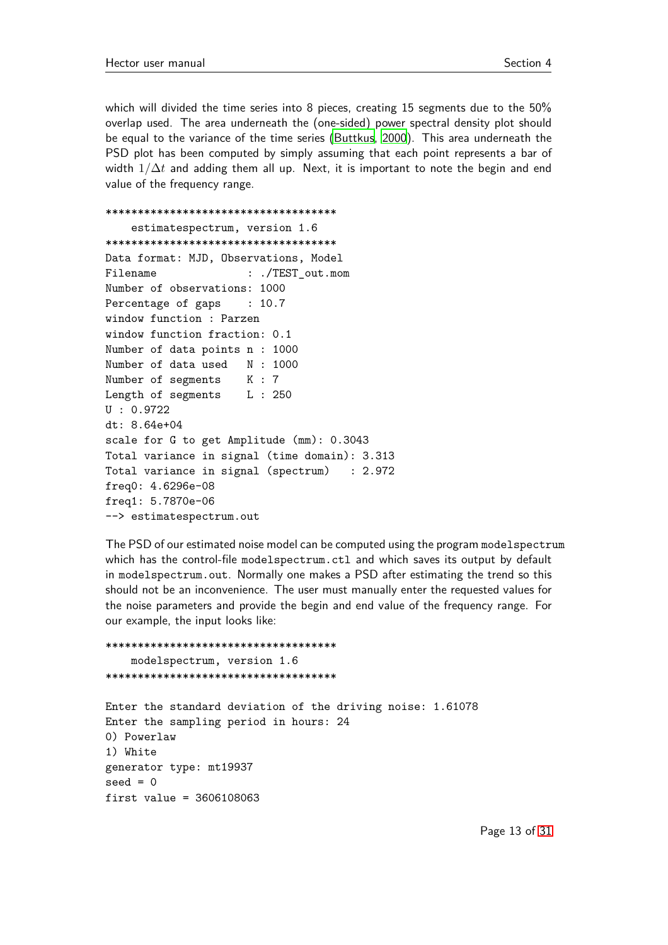which will divided the time series into 8 pieces, creating 15 segments due to the 50% overlap used. The area underneath the (one-sided) power spectral density plot should be equal to the variance of the time series [\(Buttkus](#page-27-5), [2000](#page-27-5)). This area underneath the PSD plot has been computed by simply assuming that each point represents a bar of width  $1/\Delta t$  and adding them all up. Next, it is important to note the begin and end value of the frequency range.

```
************************************
   estimatespectrum, version 1.6
************************************
Data format: MJD, Observations, Model
Filename : ./TEST_out.mom
Number of observations: 1000
Percentage of gaps : 10.7
window function : Parzen
window function fraction: 0.1
Number of data points n : 1000
Number of data used N : 1000
Number of segments K : 7
Length of segments L : 250
U : 0.9722
dt: 8.64e+04
scale for G to get Amplitude (mm): 0.3043
Total variance in signal (time domain): 3.313
Total variance in signal (spectrum) : 2.972
freq0: 4.6296e-08
freq1: 5.7870e-06
--> estimatespectrum.out
```
The PSD of our estimated noise model can be computed using the program modelspectrum which has the control-file modelspectrum.ctl and which saves its output by default in modelspectrum.out. Normally one makes a PSD after estimating the trend so this should not be an inconvenience. The user must manually enter the requested values for the noise parameters and provide the begin and end value of the frequency range. For our example, the input looks like:

\*\*\*\*\*\*\*\*\*\*\*\*\*\*\*\*\*\*\*\*\*\*\*\*\*\*\*\*\*\*\*\*\*\*\*\* modelspectrum, version 1.6 \*\*\*\*\*\*\*\*\*\*\*\*\*\*\*\*\*\*\*\*\*\*\*\*\*\*\*\*\*\*\*\*\*\*\*\* Enter the standard deviation of the driving noise: 1.61078 Enter the sampling period in hours: 24 0) Powerlaw 1) White generator type: mt19937  $seed = 0$ first value = 3606108063

Page 13 of [31](#page-30-3)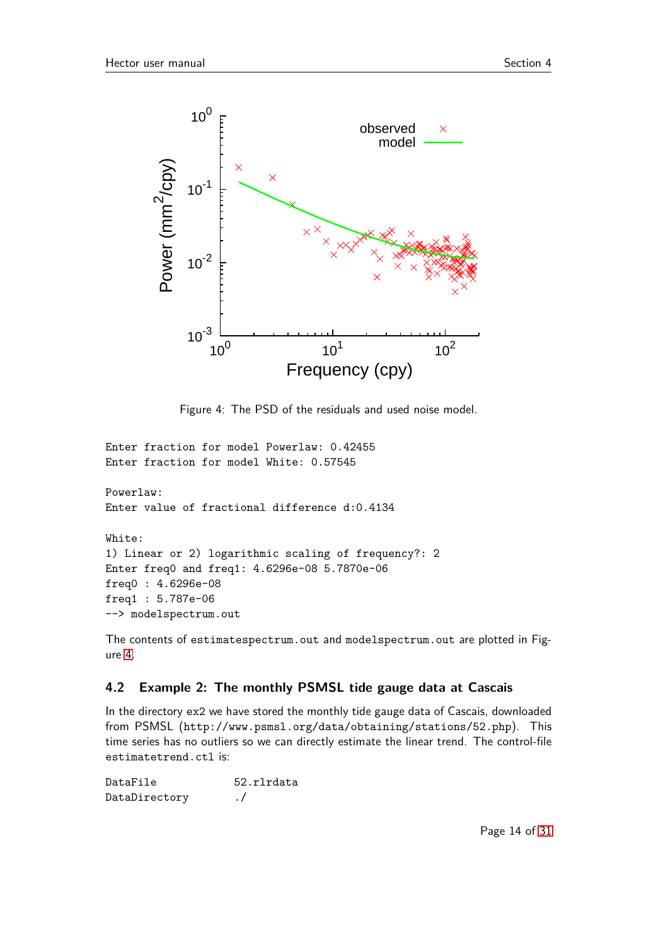

<span id="page-13-1"></span>Figure 4: The PSD of the residuals and used noise model.

Enter fraction for model Powerlaw: 0.42455 Enter fraction for model White: 0.57545

Powerlaw: Enter value of fractional difference d:0.4134

White: 1) Linear or 2) logarithmic scaling of frequency?: 2 Enter freq0 and freq1: 4.6296e-08 5.7870e-06 freq0 : 4.6296e-08 freq1 : 5.787e-06 --> modelspectrum.out

The contents of estimatespectrum.out and modelspectrum.out are plotted in Figure [4.](#page-13-1)

## <span id="page-13-0"></span>**4.2 Example 2: The monthly PSMSL tide gauge data at Cascais**

In the directory ex2 we have stored the monthly tide gauge data of Cascais, downloaded from PSMSL (http://www.psmsl.org/data/obtaining/stations/52.php). This time series has no outliers so we can directly estimate the linear trend. The control-file estimatetrend.ctl is:

DataFile 52.rlrdata DataDirectory ./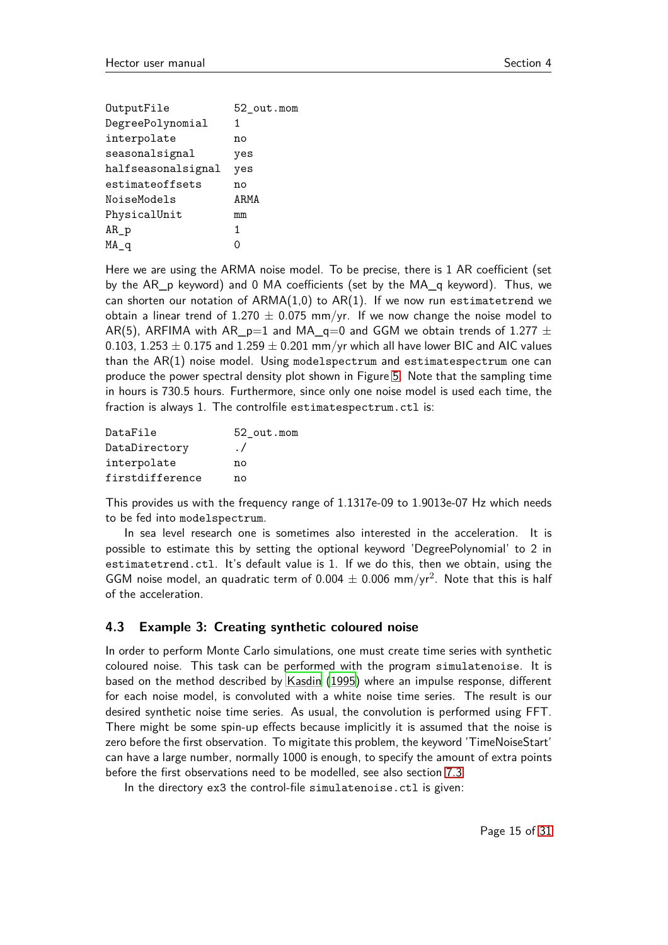| OutputFile         | 52 out.mom |
|--------------------|------------|
| DegreePolynomial   | 1          |
| interpolate        | no         |
| seasonalsignal     | yes        |
| halfseasonalsignal | yes        |
| estimateoffsets    | no         |
| NoiseModels        | ARMA       |
| PhysicalUnit       | mm         |
| $AR_p$             | 1          |
| $\mathsf{MA}_q$    |            |

Here we are using the ARMA noise model. To be precise, there is 1 AR coefficient (set by the AR\_p keyword) and 0 MA coefficients (set by the MA\_q keyword). Thus, we can shorten our notation of  $ARMA(1,0)$  to  $AR(1)$ . If we now run estimatetrend we obtain a linear trend of 1.270  $\pm$  0.075 mm/yr. If we now change the noise model to AR(5), ARFIMA with AR\_p=1 and MA\_q=0 and GGM we obtain trends of 1.277  $\pm$ 0.103, 1.253  $\pm$  0.175 and 1.259  $\pm$  0.201 mm/yr which all have lower BIC and AIC values than the AR(1) noise model. Using modelspectrum and estimatespectrum one can produce the power spectral density plot shown in Figure [5.](#page-15-0) Note that the sampling time in hours is 730.5 hours. Furthermore, since only one noise model is used each time, the fraction is always 1. The controlfile estimatespectrum.ctl is:

| DataFile        | 52 out.mom |
|-----------------|------------|
| DataDirectory   | $\cdot$ /  |
| interpolate     | nο         |
| firstdifference | n۵         |

This provides us with the frequency range of 1.1317e-09 to 1.9013e-07 Hz which needs to be fed into modelspectrum.

In sea level research one is sometimes also interested in the acceleration. It is possible to estimate this by setting the optional keyword 'DegreePolynomial' to 2 in estimatetrend.ctl. It's default value is 1. If we do this, then we obtain, using the GGM noise model, an quadratic term of  $0.004 \pm 0.006$  mm/yr<sup>2</sup>. Note that this is half of the acceleration.

#### <span id="page-14-0"></span>**4.3 Example 3: Creating synthetic coloured noise**

In order to perform Monte Carlo simulations, one must create time series with synthetic coloured noise. This task can be performed with the program simulatenoise. It is based on the method described by [Kasdin](#page-27-6) [\(1995](#page-27-6)) where an impulse response, different for each noise model, is convoluted with a white noise time series. The result is our desired synthetic noise time series. As usual, the convolution is performed using FFT. There might be some spin-up effects because implicitly it is assumed that the noise is zero before the first observation. To migitate this problem, the keyword 'TimeNoiseStart' can have a large number, normally 1000 is enough, to specify the amount of extra points before the first observations need to be modelled, see also section [7.3.](#page-20-2)

In the directory ex3 the control-file simulatenoise.ctl is given: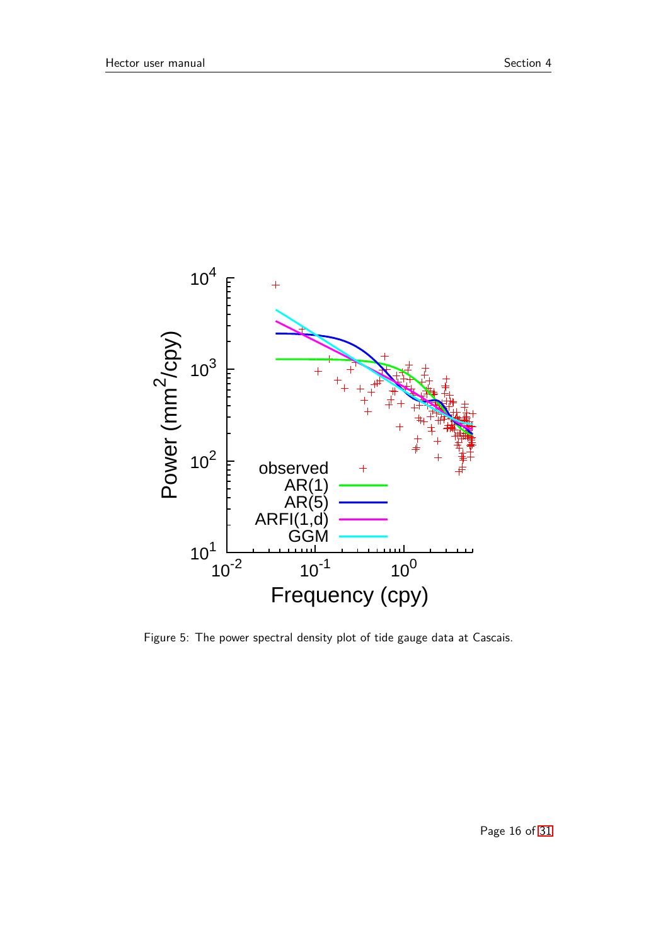

<span id="page-15-0"></span>Figure 5: The power spectral density plot of tide gauge data at Cascais.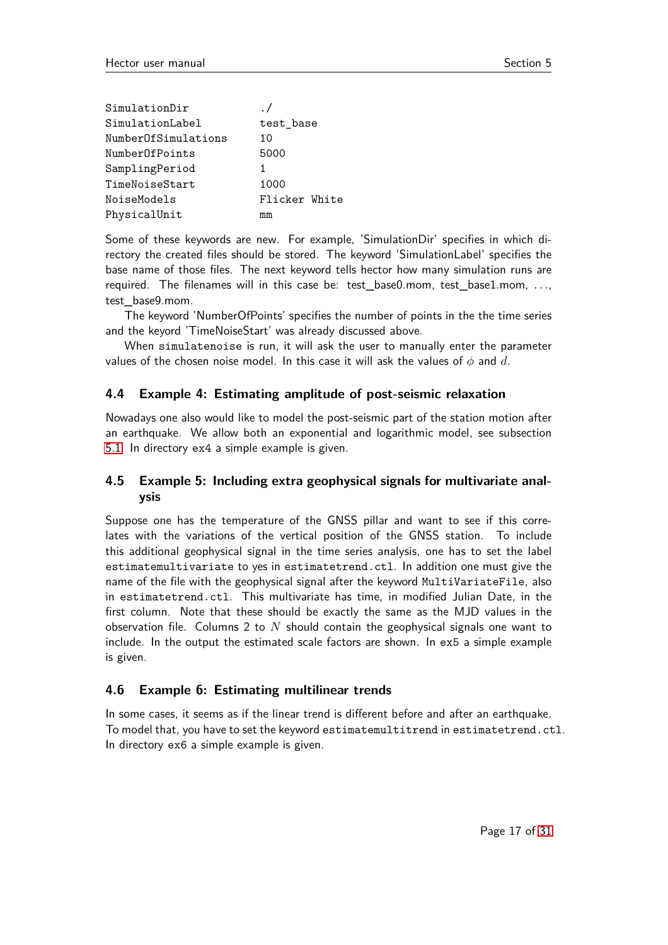| SimulationDir       |               |
|---------------------|---------------|
| SimulationLabel     | test_base     |
| NumberOfSimulations | 10            |
| NumberOfPoints      | 5000          |
| SamplingPeriod      | 1             |
| TimeNoiseStart      | 1000          |
| NoiseModels         | Flicker White |
| PhysicalUnit        | mm            |

Some of these keywords are new. For example, 'SimulationDir' specifies in which directory the created files should be stored. The keyword 'SimulationLabel' specifies the base name of those files. The next keyword tells hector how many simulation runs are required. The filenames will in this case be: test\_base0.mom, test\_base1.mom, *. . .*, test\_base9.mom.

The keyword 'NumberOfPoints' specifies the number of points in the the time series and the keyord 'TimeNoiseStart' was already discussed above.

When simulatenoise is run, it will ask the user to manually enter the parameter values of the chosen noise model. In this case it will ask the values of *φ* and *d*.

#### <span id="page-16-0"></span>**4.4 Example 4: Estimating amplitude of post-seismic relaxation**

Nowadays one also would like to model the post-seismic part of the station motion after an earthquake. We allow both an exponential and logarithmic model, see subsection [5.1.](#page-17-1) In directory ex4 a simple example is given.

## <span id="page-16-1"></span>**4.5 Example 5: Including extra geophysical signals for multivariate analysis**

Suppose one has the temperature of the GNSS pillar and want to see if this correlates with the variations of the vertical position of the GNSS station. To include this additional geophysical signal in the time series analysis, one has to set the label estimatemultivariate to yes in estimatetrend.ctl. In addition one must give the name of the file with the geophysical signal after the keyword MultiVariateFile, also in estimatetrend.ctl. This multivariate has time, in modified Julian Date, in the first column. Note that these should be exactly the same as the MJD values in the observation file. Columns 2 to *N* should contain the geophysical signals one want to include. In the output the estimated scale factors are shown. In ex5 a simple example is given.

#### <span id="page-16-2"></span>**4.6 Example 6: Estimating multilinear trends**

In some cases, it seems as if the linear trend is different before and after an earthquake. To model that, you have to set the keyword estimatemultitrend in estimatetrend.ctl. In directory ex6 a simple example is given.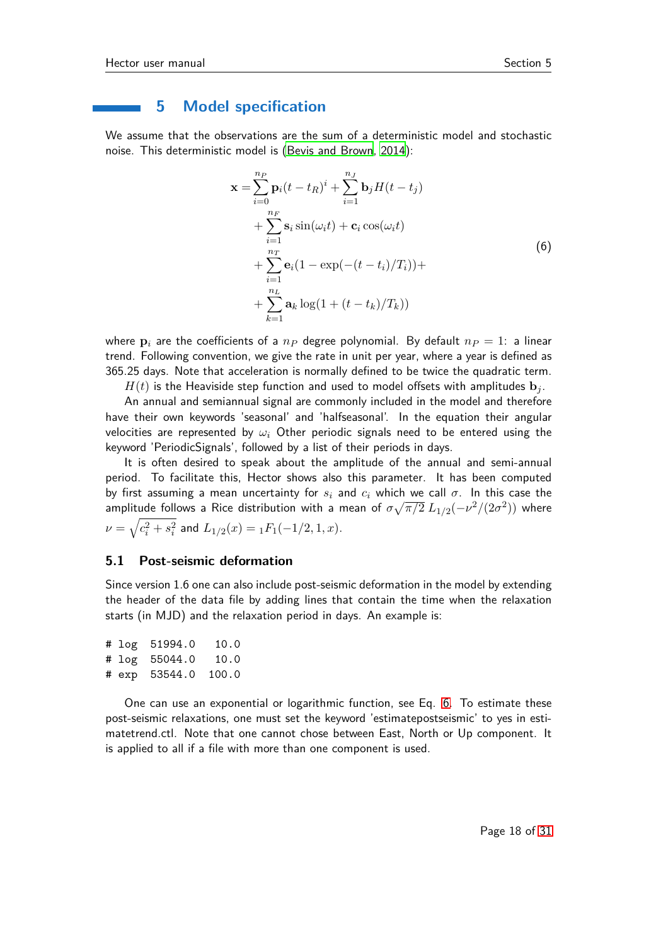#### <span id="page-17-0"></span>**5 Model specification**

We assume that the observations are the sum of a deterministic model and stochastic noise. This deterministic model is [\(Bevis and Brown, 2014](#page-26-6)):

$$
\mathbf{x} = \sum_{i=0}^{n_P} \mathbf{p}_i (t - t_R)^i + \sum_{i=1}^{n_J} \mathbf{b}_j H(t - t_j)
$$
  
+ 
$$
\sum_{i=1}^{n_F} \mathbf{s}_i \sin(\omega_i t) + \mathbf{c}_i \cos(\omega_i t)
$$
  
+ 
$$
\sum_{i=1}^{n_T} \mathbf{e}_i (1 - \exp(-(t - t_i)/T_i)) +
$$
  
+ 
$$
\sum_{k=1}^{n_L} \mathbf{a}_k \log(1 + (t - t_k)/T_k))
$$
 (6)

<span id="page-17-2"></span>where  $\mathbf{p}_i$  are the coefficients of a  $n_p$  degree polynomial. By default  $n_p = 1$ : a linear trend. Following convention, we give the rate in unit per year, where a year is defined as 365.25 days. Note that acceleration is normally defined to be twice the quadratic term.

 $H(t)$  is the Heaviside step function and used to model offsets with amplitudes  $\mathbf{b}_i$ .

An annual and semiannual signal are commonly included in the model and therefore have their own keywords 'seasonal' and 'halfseasonal'. In the equation their angular velocities are represented by *ω<sup>i</sup>* Other periodic signals need to be entered using the keyword 'PeriodicSignals', followed by a list of their periods in days.

It is often desired to speak about the amplitude of the annual and semi-annual period. To facilitate this, Hector shows also this parameter. It has been computed by first assuming a mean uncertainty for *s<sup>i</sup>* and *c<sup>i</sup>* which we call *σ*. In this case the amplitude follows a Rice distribution with a mean of  $\sigma\sqrt{\pi/2}$   $L_{1/2}(-\nu^2/(2\sigma^2))$  where  $\nu = \sqrt{c_i^2 + s_i^2}$  and  $L_{1/2}(x) = {}_1F_1(-1/2,1,x)$ .

#### <span id="page-17-1"></span>**5.1 Post-seismic deformation**

Since version 1.6 one can also include post-seismic deformation in the model by extending the header of the data file by adding lines that contain the time when the relaxation starts (in MJD) and the relaxation period in days. An example is:

```
# log 51994.0 10.0
# log 55044.0 10.0
# exp 53544.0 100.0
```
One can use an exponential or logarithmic function, see Eq. [6.](#page-17-2) To estimate these post-seismic relaxations, one must set the keyword 'estimatepostseismic' to yes in estimatetrend.ctl. Note that one cannot chose between East, North or Up component. It is applied to all if a file with more than one component is used.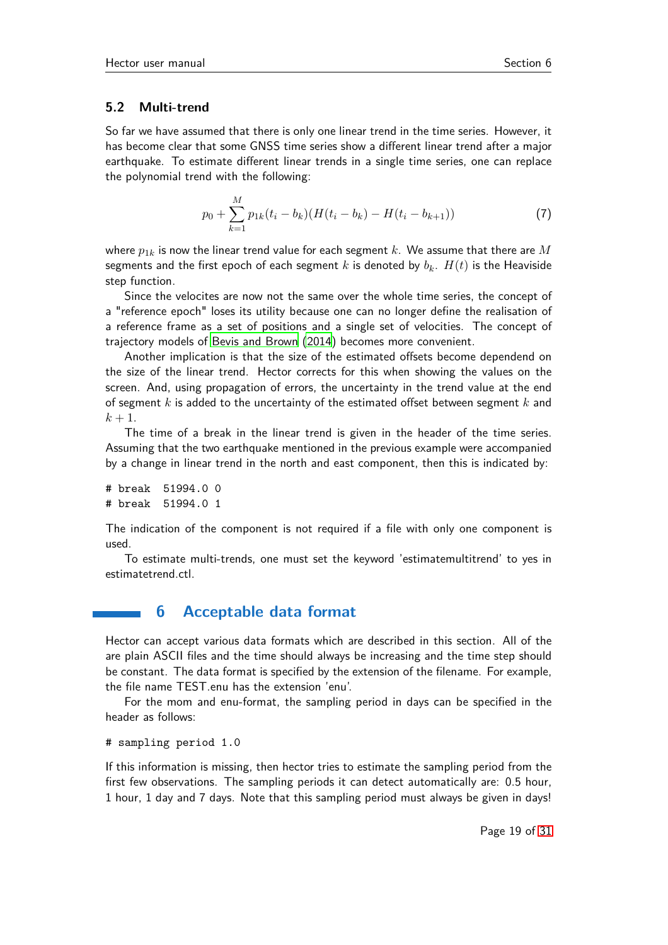#### <span id="page-18-0"></span>**5.2 Multi-trend**

So far we have assumed that there is only one linear trend in the time series. However, it has become clear that some GNSS time series show a different linear trend after a major earthquake. To estimate different linear trends in a single time series, one can replace the polynomial trend with the following:

$$
p_0 + \sum_{k=1}^{M} p_{1k}(t_i - b_k)(H(t_i - b_k) - H(t_i - b_{k+1}))
$$
\n(7)

where *p*1*<sup>k</sup>* is now the linear trend value for each segment *k*. We assume that there are *M* segments and the first epoch of each segment *k* is denoted by  $b_k$ .  $H(t)$  is the Heaviside step function.

Since the velocites are now not the same over the whole time series, the concept of a "reference epoch" loses its utility because one can no longer define the realisation of a reference frame as a set of positions and a single set of velocities. The concept of trajectory models of [Bevis and Brown](#page-26-6) [\(2014](#page-26-6)) becomes more convenient.

Another implication is that the size of the estimated offsets become dependend on the size of the linear trend. Hector corrects for this when showing the values on the screen. And, using propagation of errors, the uncertainty in the trend value at the end of segment *k* is added to the uncertainty of the estimated offset between segment *k* and  $k + 1$ .

The time of a break in the linear trend is given in the header of the time series. Assuming that the two earthquake mentioned in the previous example were accompanied by a change in linear trend in the north and east component, then this is indicated by:

# break 51994.0 0 # break 51994.0 1

The indication of the component is not required if a file with only one component is used.

<span id="page-18-1"></span>To estimate multi-trends, one must set the keyword 'estimatemultitrend' to yes in estimatetrend.ctl.

## **6 Acceptable data format**

Hector can accept various data formats which are described in this section. All of the are plain ASCII files and the time should always be increasing and the time step should be constant. The data format is specified by the extension of the filename. For example, the file name TEST.enu has the extension 'enu'.

For the mom and enu-format, the sampling period in days can be specified in the header as follows:

# sampling period 1.0

If this information is missing, then hector tries to estimate the sampling period from the first few observations. The sampling periods it can detect automatically are: 0.5 hour, 1 hour, 1 day and 7 days. Note that this sampling period must always be given in days!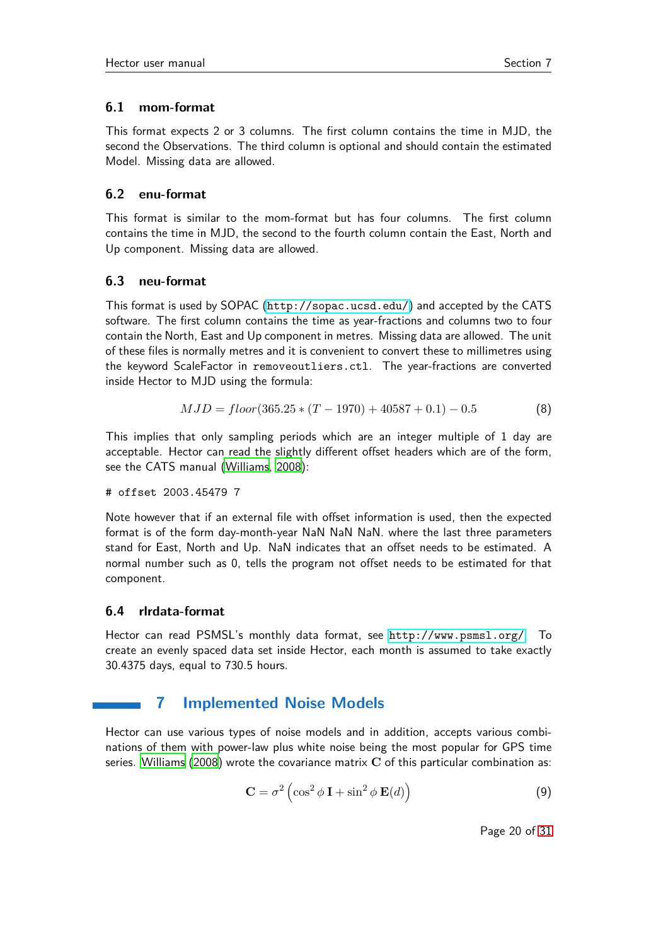## <span id="page-19-0"></span>**6.1 mom-format**

This format expects 2 or 3 columns. The first column contains the time in MJD, the second the Observations. The third column is optional and should contain the estimated Model. Missing data are allowed.

### <span id="page-19-1"></span>**6.2 enu-format**

This format is similar to the mom-format but has four columns. The first column contains the time in MJD, the second to the fourth column contain the East, North and Up component. Missing data are allowed.

#### <span id="page-19-2"></span>**6.3 neu-format**

This format is used by SOPAC (<http://sopac.ucsd.edu/>) and accepted by the CATS software. The first column contains the time as year-fractions and columns two to four contain the North, East and Up component in metres. Missing data are allowed. The unit of these files is normally metres and it is convenient to convert these to millimetres using the keyword ScaleFactor in removeoutliers.ctl. The year-fractions are converted inside Hector to MJD using the formula:

$$
MJD = floor(365.25 * (T - 1970) + 40587 + 0.1) - 0.5
$$
 (8)

This implies that only sampling periods which are an integer multiple of 1 day are acceptable. Hector can read the slightly different offset headers which are of the form, see the CATS manual [\(Williams, 2008](#page-27-0)):

# offset 2003.45479 7

Note however that if an external file with offset information is used, then the expected format is of the form day-month-year NaN NaN NaN. where the last three parameters stand for East, North and Up. NaN indicates that an offset needs to be estimated. A normal number such as 0, tells the program not offset needs to be estimated for that component.

## <span id="page-19-3"></span>**6.4 rlrdata-format**

Hector can read PSMSL's monthly data format, see <http://www.psmsl.org/>. To create an evenly spaced data set inside Hector, each month is assumed to take exactly 30.4375 days, equal to 730.5 hours.

## **7 Implemented Noise Models**

<span id="page-19-4"></span>Hector can use various types of noise models and in addition, accepts various combinations of them with power-law plus white noise being the most popular for GPS time series. [Williams \(2008](#page-27-0)) wrote the covariance matrix **C** of this particular combination as:

$$
\mathbf{C} = \sigma^2 \left( \cos^2 \phi \, \mathbf{I} + \sin^2 \phi \, \mathbf{E}(d) \right) \tag{9}
$$

Page 20 of [31](#page-30-3)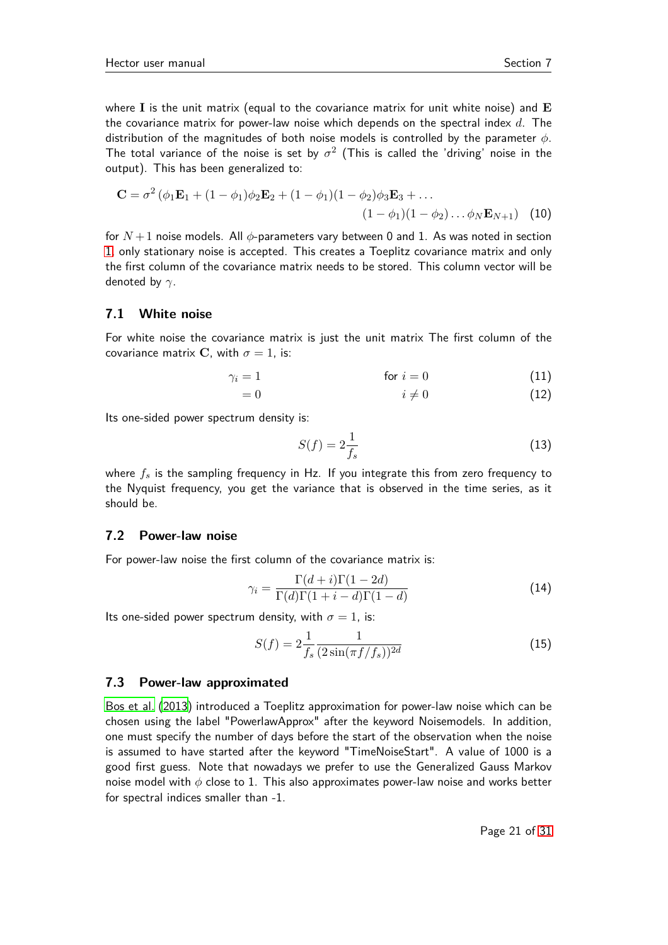where **I** is the unit matrix (equal to the covariance matrix for unit white noise) and **E** the covariance matrix for power-law noise which depends on the spectral index *d*. The distribution of the magnitudes of both noise models is controlled by the parameter *φ*. The total variance of the noise is set by  $\sigma^2$  (This is called the 'driving' noise in the output). This has been generalized to:

$$
\mathbf{C} = \sigma^2 (\phi_1 \mathbf{E}_1 + (1 - \phi_1)\phi_2 \mathbf{E}_2 + (1 - \phi_1)(1 - \phi_2)\phi_3 \mathbf{E}_3 + ... (1 - \phi_1)(1 - \phi_2) ... \phi_N \mathbf{E}_{N+1})
$$
 (10)

for  $N+1$  noise models. All  $\phi$ -parameters vary between 0 and 1. As was noted in section [1,](#page-1-0) only stationary noise is accepted. This creates a Toeplitz covariance matrix and only the first column of the covariance matrix needs to be stored. This column vector will be denoted by *γ*.

#### <span id="page-20-0"></span>**7.1 White noise**

For white noise the covariance matrix is just the unit matrix The first column of the covariance matrix **C**, with  $\sigma = 1$ , is:

$$
\gamma_i = 1 \qquad \qquad \text{for } i = 0 \tag{11}
$$

$$
i \neq 0 \tag{12}
$$

Its one-sided power spectrum density is:

$$
S(f) = 2\frac{1}{f_s} \tag{13}
$$

where  $f_s$  is the sampling frequency in Hz. If you integrate this from zero frequency to the Nyquist frequency, you get the variance that is observed in the time series, as it should be.

#### <span id="page-20-1"></span>**7.2 Power-law noise**

For power-law noise the first column of the covariance matrix is:

$$
\gamma_i = \frac{\Gamma(d+i)\Gamma(1-2d)}{\Gamma(d)\Gamma(1+i-d)\Gamma(1-d)}\tag{14}
$$

Its one-sided power spectrum density, with  $\sigma = 1$ , is:

$$
S(f) = 2\frac{1}{f_s} \frac{1}{(2\sin(\pi f/f_s))^{2d}}
$$
\n(15)

#### <span id="page-20-2"></span>**7.3 Power-law approximated**

[Bos et al. \(2013](#page-26-5)) introduced a Toeplitz approximation for power-law noise which can be chosen using the label "PowerlawApprox" after the keyword Noisemodels. In addition, one must specify the number of days before the start of the observation when the noise is assumed to have started after the keyword "TimeNoiseStart". A value of 1000 is a good first guess. Note that nowadays we prefer to use the Generalized Gauss Markov noise model with *φ* close to 1. This also approximates power-law noise and works better for spectral indices smaller than -1.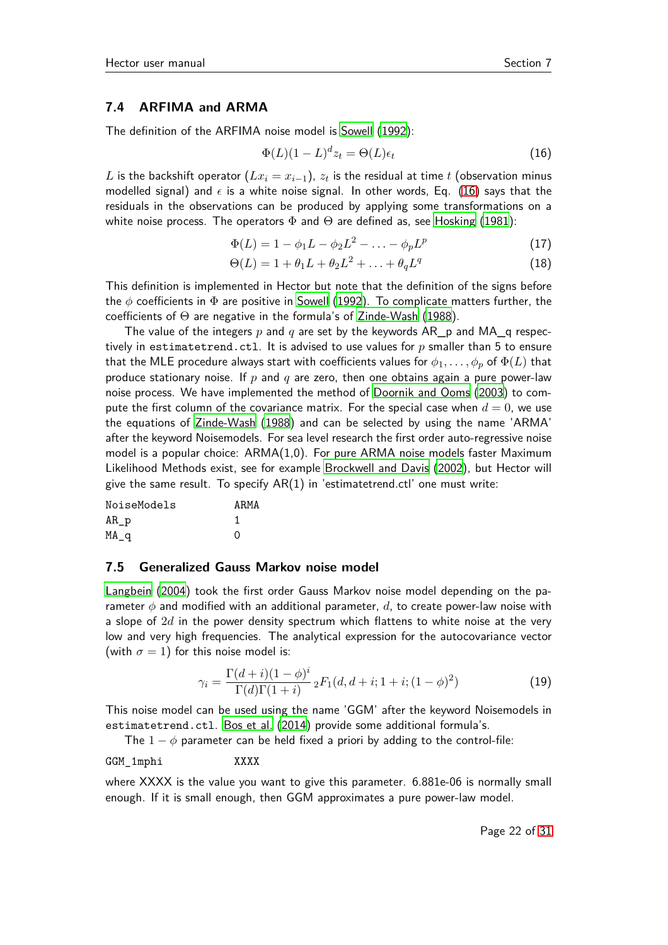#### <span id="page-21-0"></span>**7.4 ARFIMA and ARMA**

The definition of the ARFIMA noise model is [Sowell](#page-27-7) [\(1992\)](#page-27-7):

<span id="page-21-2"></span>
$$
\Phi(L)(1-L)^{d}z_t = \Theta(L)\epsilon_t \tag{16}
$$

 $L$  is the backshift operator  $(Lx_i = x_{i-1})$ ,  $z_t$  is the residual at time  $t$  (observation minus modelled signal) and  $\epsilon$  is a white noise signal. In other words, Eq. [\(16\)](#page-21-2) says that the residuals in the observations can be produced by applying some transformations on a white noise process. The operators  $\Phi$  and  $\Theta$  are defined as, see [Hosking \(1981](#page-27-8)):

$$
\Phi(L) = 1 - \phi_1 L - \phi_2 L^2 - \dots - \phi_p L^p \tag{17}
$$

$$
\Theta(L) = 1 + \theta_1 L + \theta_2 L^2 + \ldots + \theta_q L^q \tag{18}
$$

This definition is implemented in Hector but note that the definition of the signs before the *φ* coefficients in Φ are positive in [Sowell](#page-27-7) [\(1992](#page-27-7)). To complicate matters further, the coefficients of  $\Theta$  are negative in the formula's of [Zinde-Wash \(1988](#page-27-9)).

The value of the integers *p* and *q* are set by the keywords AR\_p and MA\_q respectively in estimatetrend.ctl. It is advised to use values for *p* smaller than 5 to ensure that the MLE procedure always start with coefficients values for  $\phi_1, \ldots, \phi_p$  of  $\Phi(L)$  that produce stationary noise. If *p* and *q* are zero, then one obtains again a pure power-law noise process. We have implemented the method of [Doornik and Ooms](#page-27-10) [\(2003](#page-27-10)) to compute the first column of the covariance matrix. For the special case when  $d = 0$ , we use the equations of [Zinde-Wash](#page-27-9) [\(1988](#page-27-9)) and can be selected by using the name 'ARMA' after the keyword Noisemodels. For sea level research the first order auto-regressive noise model is a popular choice: ARMA(1,0). For pure ARMA noise models faster Maximum Likelihood Methods exist, see for example [Brockwell and Davis](#page-27-11) [\(2002\)](#page-27-11), but Hector will give the same result. To specify  $AR(1)$  in 'estimatetrend.ctl' one must write:

| NoiseModels | ARMA |
|-------------|------|
| AR p        |      |
| MA q        | ∩    |

#### <span id="page-21-1"></span>**7.5 Generalized Gauss Markov noise model**

[Langbein](#page-27-12) [\(2004](#page-27-12)) took the first order Gauss Markov noise model depending on the parameter *φ* and modified with an additional parameter, *d*, to create power-law noise with a slope of 2*d* in the power density spectrum which flattens to white noise at the very low and very high frequencies. The analytical expression for the autocovariance vector (with  $\sigma = 1$ ) for this noise model is:

$$
\gamma_i = \frac{\Gamma(d+i)(1-\phi)^i}{\Gamma(d)\Gamma(1+i)} {}_2F_1(d,d+i; 1+i; (1-\phi)^2)
$$
\n(19)

This noise model can be used using the name 'GGM' after the keyword Noisemodels in estimatetrend.ctl. [Bos et al.](#page-27-13) [\(2014\)](#page-27-13) provide some additional formula's.

The  $1 - \phi$  parameter can be held fixed a priori by adding to the control-file:

GGM\_1mphi XXXX

where XXXX is the value you want to give this parameter. 6.881e-06 is normally small enough. If it is small enough, then GGM approximates a pure power-law model.

Page 22 of [31](#page-30-3)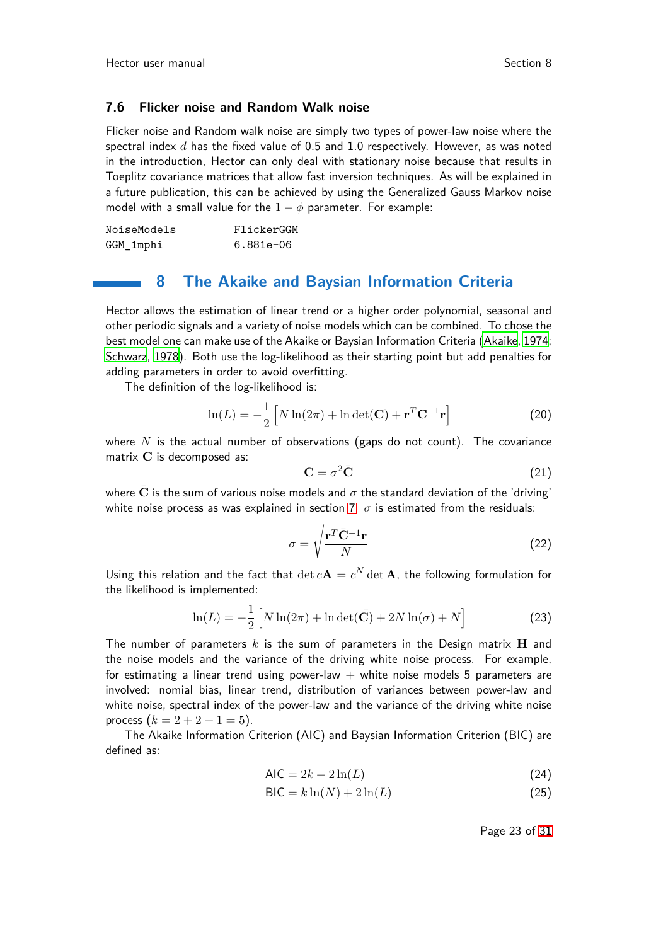#### <span id="page-22-0"></span>**7.6 Flicker noise and Random Walk noise**

Flicker noise and Random walk noise are simply two types of power-law noise where the spectral index *d* has the fixed value of 0.5 and 1.0 respectively. However, as was noted in the introduction, Hector can only deal with stationary noise because that results in Toeplitz covariance matrices that allow fast inversion techniques. As will be explained in a future publication, this can be achieved by using the Generalized Gauss Markov noise model with a small value for the  $1 - \phi$  parameter. For example:

<span id="page-22-1"></span>

| NoiseModels | FlickerGGM  |
|-------------|-------------|
| GGM_1mphi   | $6.881e-06$ |

## **8 The Akaike and Baysian Information Criteria**

Hector allows the estimation of linear trend or a higher order polynomial, seasonal and other periodic signals and a variety of noise models which can be combined. To chose the best model one can make use of the Akaike or Baysian Information Criteria [\(Akaike](#page-26-7), [1974](#page-26-7); [Schwarz](#page-27-14), [1978](#page-27-14)). Both use the log-likelihood as their starting point but add penalties for adding parameters in order to avoid overfitting.

The definition of the log-likelihood is:

$$
\ln(L) = -\frac{1}{2} \left[ N \ln(2\pi) + \ln \det(\mathbf{C}) + \mathbf{r}^T \mathbf{C}^{-1} \mathbf{r} \right]
$$
 (20)

where  $N$  is the actual number of observations (gaps do not count). The covariance matrix **C** is decomposed as:

$$
\mathbf{C} = \sigma^2 \bar{\mathbf{C}} \tag{21}
$$

where **C** is the sum of various noise models and  $\sigma$  the standard deviation of the 'driving' white noise process as was explained in section [7.](#page-19-4)  $\sigma$  is estimated from the residuals:

$$
\sigma = \sqrt{\frac{\mathbf{r}^T \bar{\mathbf{C}}^{-1} \mathbf{r}}{N}}
$$
\n(22)

Using this relation and the fact that  $\det c\mathbf{A}=c^N\det\mathbf{A}$ , the following formulation for the likelihood is implemented:

$$
\ln(L) = -\frac{1}{2} \left[ N \ln(2\pi) + \ln \det(\bar{C}) + 2N \ln(\sigma) + N \right]
$$
 (23)

The number of parameters *k* is the sum of parameters in the Design matrix **H** and the noise models and the variance of the driving white noise process. For example, for estimating a linear trend using power-law  $+$  white noise models 5 parameters are involved: nomial bias, linear trend, distribution of variances between power-law and white noise, spectral index of the power-law and the variance of the driving white noise process  $(k = 2 + 2 + 1 = 5)$ .

The Akaike Information Criterion (AIC) and Baysian Information Criterion (BIC) are defined as:

$$
\mathsf{AIC} = 2k + 2\ln(L) \tag{24}
$$

$$
\mathsf{BIC} = k \ln(N) + 2 \ln(L) \tag{25}
$$

Page 23 of [31](#page-30-3)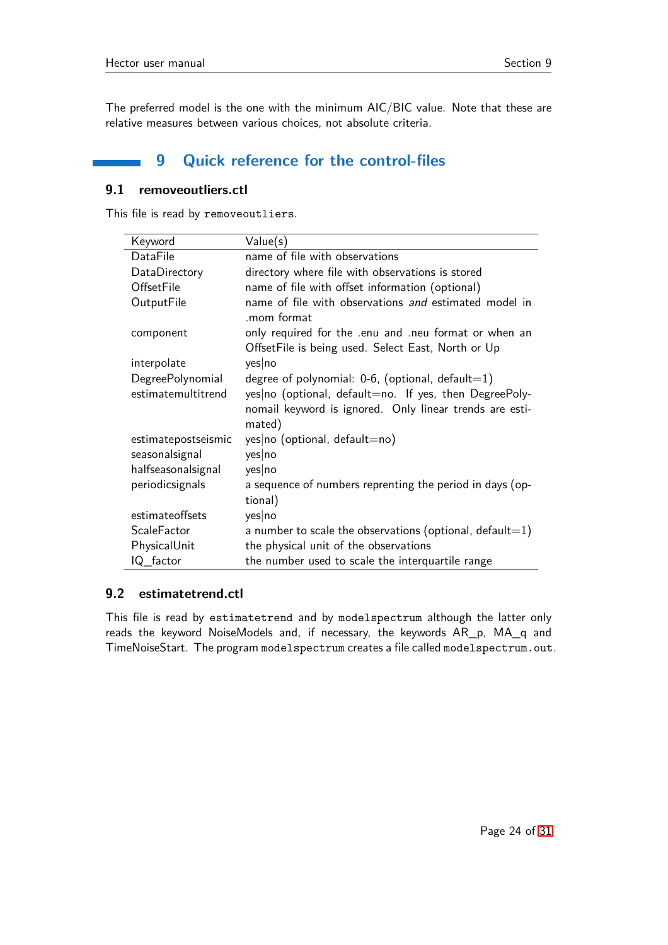<span id="page-23-0"></span>The preferred model is the one with the minimum AIC/BIC value. Note that these are relative measures between various choices, not absolute criteria.

## **9 Quick reference for the control-files**

#### <span id="page-23-1"></span>**9.1 removeoutliers.ctl**

This file is read by removeoutliers.

| Keyword             | Value(s)                                                            |  |  |  |
|---------------------|---------------------------------------------------------------------|--|--|--|
| DataFile            | name of file with observations                                      |  |  |  |
| DataDirectory       | directory where file with observations is stored                    |  |  |  |
| OffsetFile          | name of file with offset information (optional)                     |  |  |  |
| OutputFile          | name of file with observations and estimated model in<br>mom format |  |  |  |
| component           | only required for the enu and neu format or when an                 |  |  |  |
|                     | OffsetFile is being used. Select East, North or Up                  |  |  |  |
| interpolate         | yes no                                                              |  |  |  |
| DegreePolynomial    | degree of polynomial: $0-6$ , (optional, default=1)                 |  |  |  |
| estimatemultitrend  | yes no (optional, default=no. If yes, then DegreePoly-              |  |  |  |
|                     | nomail keyword is ignored. Only linear trends are esti-             |  |  |  |
|                     | mated)                                                              |  |  |  |
| estimatepostseismic | $yes no$ (optional, default=no)                                     |  |  |  |
| seasonalsignal      | yes no                                                              |  |  |  |
| halfseasonalsignal  | yes no                                                              |  |  |  |
| periodicsignals     | a sequence of numbers reprenting the period in days (op-            |  |  |  |
|                     | tional)                                                             |  |  |  |
| estimateoffsets     | yes no                                                              |  |  |  |
| <b>ScaleFactor</b>  | a number to scale the observations (optional, default= $1$ )        |  |  |  |
| PhysicalUnit        | the physical unit of the observations                               |  |  |  |
| IQ_factor           | the number used to scale the interquartile range                    |  |  |  |

## <span id="page-23-2"></span>**9.2 estimatetrend.ctl**

This file is read by estimatetrend and by modelspectrum although the latter only reads the keyword NoiseModels and, if necessary, the keywords AR\_p, MA\_q and TimeNoiseStart. The program modelspectrum creates a file called modelspectrum.out.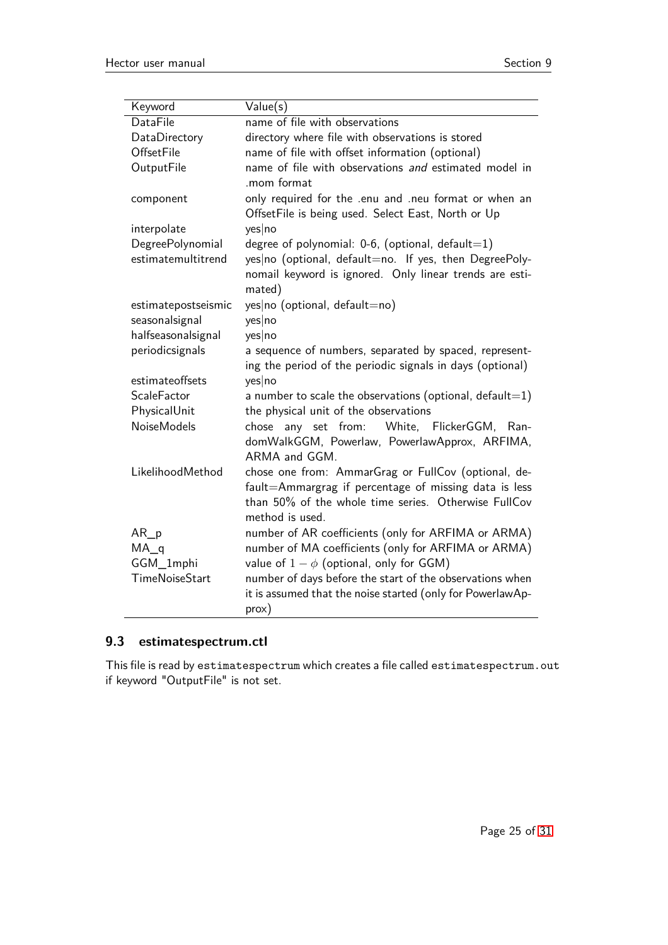| Keyword                                                                      | Value(s)                                                   |  |  |
|------------------------------------------------------------------------------|------------------------------------------------------------|--|--|
| DataFile                                                                     | name of file with observations                             |  |  |
| DataDirectory                                                                | directory where file with observations is stored           |  |  |
| OffsetFile                                                                   | name of file with offset information (optional)            |  |  |
| OutputFile                                                                   | name of file with observations and estimated model in      |  |  |
|                                                                              | .mom format                                                |  |  |
| component                                                                    | only required for the .enu and .neu format or when an      |  |  |
|                                                                              | OffsetFile is being used. Select East, North or Up         |  |  |
| interpolate                                                                  | yes no                                                     |  |  |
| DegreePolynomial                                                             | degree of polynomial: $0-6$ , (optional, default=1)        |  |  |
| estimatemultitrend<br>yes no (optional, default=no. If yes, then DegreePoly- |                                                            |  |  |
|                                                                              | nomail keyword is ignored. Only linear trends are esti-    |  |  |
|                                                                              | mated)                                                     |  |  |
| estimatepostseismic                                                          | yes no (optional, default=no)                              |  |  |
| seasonalsignal                                                               | yes no                                                     |  |  |
| halfseasonalsignal                                                           | yes no                                                     |  |  |
| periodicsignals<br>a sequence of numbers, separated by spaced, represent-    |                                                            |  |  |
|                                                                              | ing the period of the periodic signals in days (optional)  |  |  |
| estimateoffsets                                                              | yes no                                                     |  |  |
| <b>ScaleFactor</b>                                                           | a number to scale the observations (optional, default=1)   |  |  |
| PhysicalUnit                                                                 | the physical unit of the observations                      |  |  |
| <b>NoiseModels</b>                                                           | chose any set from: White, FlickerGGM, Ran-                |  |  |
|                                                                              | domWalkGGM, Powerlaw, PowerlawApprox, ARFIMA,              |  |  |
|                                                                              | ARMA and GGM.                                              |  |  |
| LikelihoodMethod                                                             | chose one from: AmmarGrag or FullCov (optional, de-        |  |  |
|                                                                              | fault=Ammargrag if percentage of missing data is less      |  |  |
|                                                                              | than 50% of the whole time series. Otherwise FullCov       |  |  |
|                                                                              | method is used.                                            |  |  |
| $AR_p$                                                                       | number of AR coefficients (only for ARFIMA or ARMA)        |  |  |
| $MA_q$                                                                       | number of MA coefficients (only for ARFIMA or ARMA)        |  |  |
| GGM_1mphi<br>TimeNoiseStart                                                  | value of $1 - \phi$ (optional, only for GGM)               |  |  |
|                                                                              | number of days before the start of the observations when   |  |  |
|                                                                              | it is assumed that the noise started (only for PowerlawAp- |  |  |
|                                                                              | prox)                                                      |  |  |

## <span id="page-24-0"></span>**9.3 estimatespectrum.ctl**

This file is read by estimatespectrum which creates a file called estimatespectrum.out if keyword "OutputFile" is not set.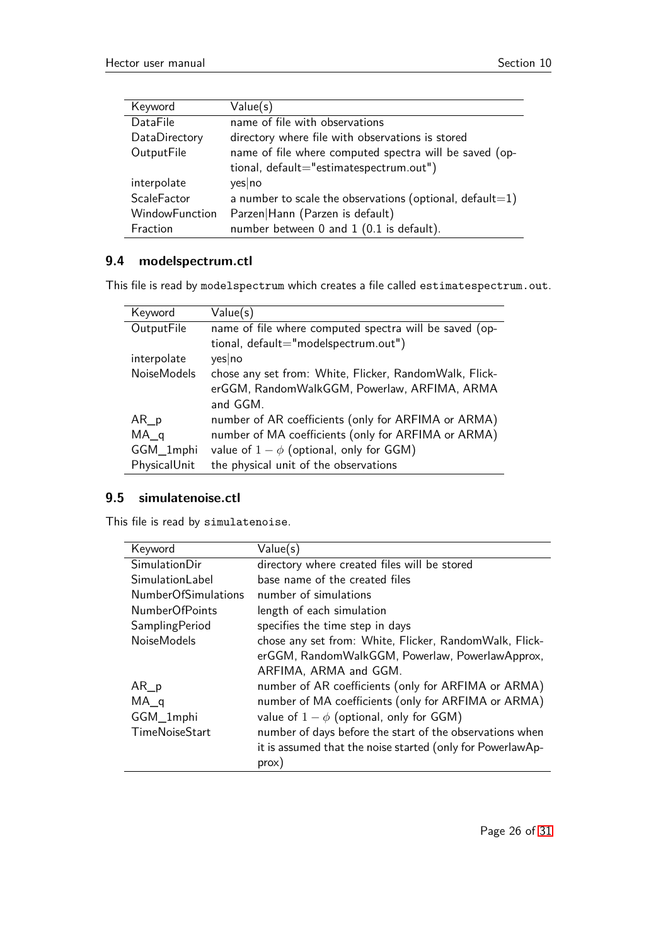| Keyword            | Value(s)                                                 |  |  |
|--------------------|----------------------------------------------------------|--|--|
| DataFile           | name of file with observations                           |  |  |
| DataDirectory      | directory where file with observations is stored         |  |  |
| OutputFile         | name of file where computed spectra will be saved (op-   |  |  |
|                    | tional, default="estimatespectrum.out")                  |  |  |
| interpolate        | yes no                                                   |  |  |
| <b>ScaleFactor</b> | a number to scale the observations (optional, default=1) |  |  |
| WindowFunction     | Parzen Hann (Parzen is default)                          |  |  |
| Fraction           | number between 0 and 1 (0.1 is default).                 |  |  |

## <span id="page-25-0"></span>**9.4 modelspectrum.ctl**

This file is read by modelspectrum which creates a file called estimatespectrum.out.

| Keyword            | Value(s)                                               |
|--------------------|--------------------------------------------------------|
| OutputFile         | name of file where computed spectra will be saved (op- |
|                    | tional, default="modelspectrum.out")                   |
| interpolate        | yes no                                                 |
| <b>NoiseModels</b> | chose any set from: White, Flicker, RandomWalk, Flick- |
|                    | erGGM, RandomWalkGGM, Powerlaw, ARFIMA, ARMA           |
|                    | and GGM.                                               |
| $AR_p$             | number of AR coefficients (only for ARFIMA or ARMA)    |
| $MA_q$             | number of MA coefficients (only for ARFIMA or ARMA)    |
| GGM_1mphi          | value of $1 - \phi$ (optional, only for GGM)           |
| PhysicalUnit       | the physical unit of the observations                  |

## <span id="page-25-1"></span>**9.5 simulatenoise.ctl**

This file is read by simulatenoise.

| Keyword                    | Value(s)                                                                                                  |  |  |  |
|----------------------------|-----------------------------------------------------------------------------------------------------------|--|--|--|
| <b>SimulationDir</b>       | directory where created files will be stored                                                              |  |  |  |
| Simulationl abel           | base name of the created files                                                                            |  |  |  |
| <b>NumberOfSimulations</b> | number of simulations                                                                                     |  |  |  |
| <b>NumberOfPoints</b>      | length of each simulation                                                                                 |  |  |  |
| SamplingPeriod             | specifies the time step in days                                                                           |  |  |  |
| <b>NoiseModels</b>         | chose any set from: White, Flicker, RandomWalk, Flick-<br>erGGM, RandomWalkGGM, Powerlaw, PowerlawApprox, |  |  |  |
|                            | ARFIMA, ARMA and GGM.                                                                                     |  |  |  |
| $AR_p$                     | number of AR coefficients (only for ARFIMA or ARMA)                                                       |  |  |  |
| $MA_q$                     | number of MA coefficients (only for ARFIMA or ARMA)                                                       |  |  |  |
| GGM_1mphi                  | value of $1 - \phi$ (optional, only for GGM)                                                              |  |  |  |
| <b>TimeNoiseStart</b>      | number of days before the start of the observations when                                                  |  |  |  |
|                            | it is assumed that the noise started (only for PowerlawAp-                                                |  |  |  |
|                            | prox)                                                                                                     |  |  |  |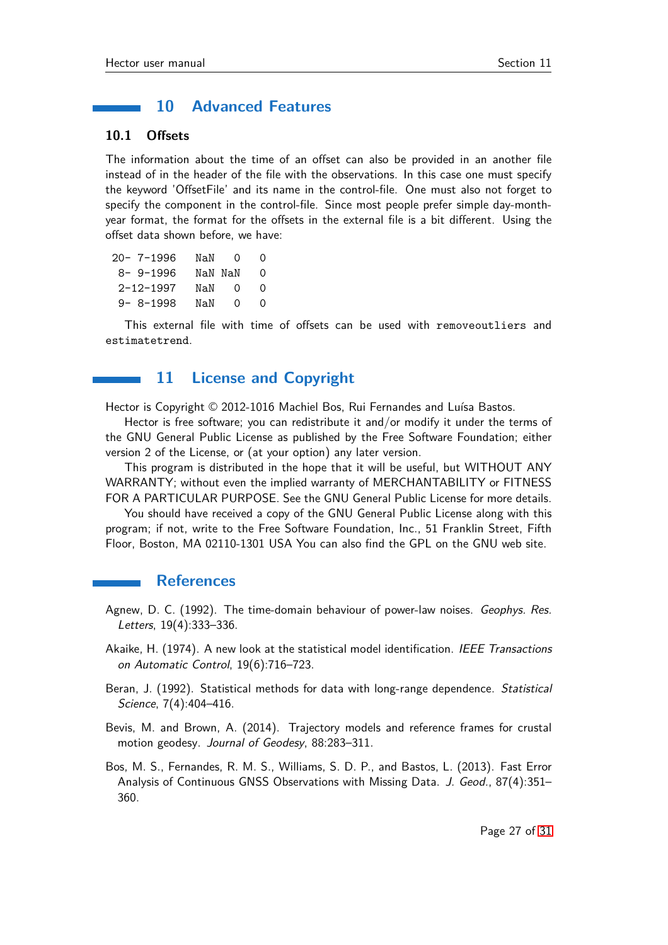## <span id="page-26-1"></span><span id="page-26-0"></span>**10 Advanced Features**

#### **10.1 Offsets**

The information about the time of an offset can also be provided in an another file instead of in the header of the file with the observations. In this case one must specify the keyword 'OffsetFile' and its name in the control-file. One must also not forget to specify the component in the control-file. Since most people prefer simple day-monthyear format, the format for the offsets in the external file is a bit different. Using the offset data shown before, we have:

| 20-7-1996       | NaN     | $\left( \right)$ | $\mathcal{L}$ |
|-----------------|---------|------------------|---------------|
| $8 - 9 - 1996$  | NaN NaN |                  | Ω             |
| $2 - 12 - 1997$ | NaN     | $\Omega$         | O             |
| $9 - 8 - 1998$  | NaN     | 0                | O             |

<span id="page-26-2"></span>This external file with time of offsets can be used with removeoutliers and estimatetrend.

## **11 License and Copyright**

Hector is Copyright © 2012-1016 Machiel Bos, Rui Fernandes and Luísa Bastos.

Hector is free software; you can redistribute it and/or modify it under the terms of the GNU General Public License as published by the Free Software Foundation; either version 2 of the License, or (at your option) any later version.

This program is distributed in the hope that it will be useful, but WITHOUT ANY WARRANTY; without even the implied warranty of MERCHANTABILITY or FITNESS FOR A PARTICULAR PURPOSE. See the GNU General Public License for more details.

You should have received a copy of the GNU General Public License along with this program; if not, write to the Free Software Foundation, Inc., 51 Franklin Street, Fifth Floor, Boston, MA 02110-1301 USA You can also find the GPL on the GNU web site.

#### **References**

- <span id="page-26-3"></span>Agnew, D. C. (1992). The time-domain behaviour of power-law noises. Geophys. Res. Letters, 19(4):333–336.
- <span id="page-26-7"></span>Akaike, H. (1974). A new look at the statistical model identification. IEEE Transactions on Automatic Control, 19(6):716–723.
- <span id="page-26-4"></span>Beran, J. (1992). Statistical methods for data with long-range dependence. Statistical Science, 7(4):404–416.
- <span id="page-26-6"></span>Bevis, M. and Brown, A. (2014). Trajectory models and reference frames for crustal motion geodesy. Journal of Geodesy, 88:283–311.
- <span id="page-26-5"></span>Bos, M. S., Fernandes, R. M. S., Williams, S. D. P., and Bastos, L. (2013). Fast Error Analysis of Continuous GNSS Observations with Missing Data. J. Geod., 87(4):351– 360.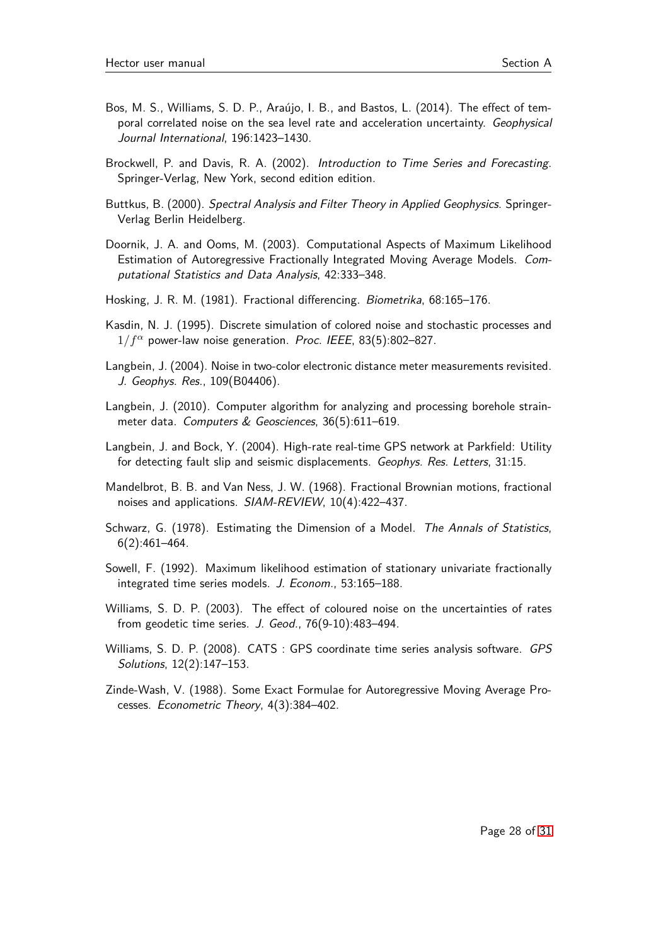- <span id="page-27-13"></span>Bos, M. S., Williams, S. D. P., Araújo, I. B., and Bastos, L. (2014). The effect of temporal correlated noise on the sea level rate and acceleration uncertainty. Geophysical Journal International, 196:1423–1430.
- <span id="page-27-11"></span>Brockwell, P. and Davis, R. A. (2002). Introduction to Time Series and Forecasting. Springer-Verlag, New York, second edition edition.
- <span id="page-27-5"></span>Buttkus, B. (2000). Spectral Analysis and Filter Theory in Applied Geophysics. Springer-Verlag Berlin Heidelberg.
- <span id="page-27-10"></span>Doornik, J. A. and Ooms, M. (2003). Computational Aspects of Maximum Likelihood Estimation of Autoregressive Fractionally Integrated Moving Average Models. Computational Statistics and Data Analysis, 42:333–348.
- <span id="page-27-8"></span>Hosking, J. R. M. (1981). Fractional differencing. Biometrika, 68:165–176.
- <span id="page-27-6"></span>Kasdin, N. J. (1995). Discrete simulation of colored noise and stochastic processes and  $1/f^{\alpha}$  power-law noise generation. Proc. IEEE, 83(5):802-827.
- <span id="page-27-12"></span>Langbein, J. (2004). Noise in two-color electronic distance meter measurements revisited. J. Geophys. Res., 109(B04406).
- <span id="page-27-1"></span>Langbein, J. (2010). Computer algorithm for analyzing and processing borehole strainmeter data. Computers & Geosciences, 36(5):611–619.
- <span id="page-27-2"></span>Langbein, J. and Bock, Y. (2004). High-rate real-time GPS network at Parkfield: Utility for detecting fault slip and seismic displacements. Geophys. Res. Letters, 31:15.
- <span id="page-27-3"></span>Mandelbrot, B. B. and Van Ness, J. W. (1968). Fractional Brownian motions, fractional noises and applications. SIAM-REVIEW, 10(4):422–437.
- <span id="page-27-14"></span>Schwarz, G. (1978). Estimating the Dimension of a Model. The Annals of Statistics, 6(2):461–464.
- <span id="page-27-7"></span>Sowell, F. (1992). Maximum likelihood estimation of stationary univariate fractionally integrated time series models. J. Econom., 53:165–188.
- <span id="page-27-4"></span>Williams, S. D. P. (2003). The effect of coloured noise on the uncertainties of rates from geodetic time series. J. Geod., 76(9-10):483–494.
- <span id="page-27-0"></span>Williams, S. D. P. (2008). CATS : GPS coordinate time series analysis software. GPS Solutions, 12(2):147–153.
- <span id="page-27-9"></span>Zinde-Wash, V. (1988). Some Exact Formulae for Autoregressive Moving Average Processes. Econometric Theory, 4(3):384–402.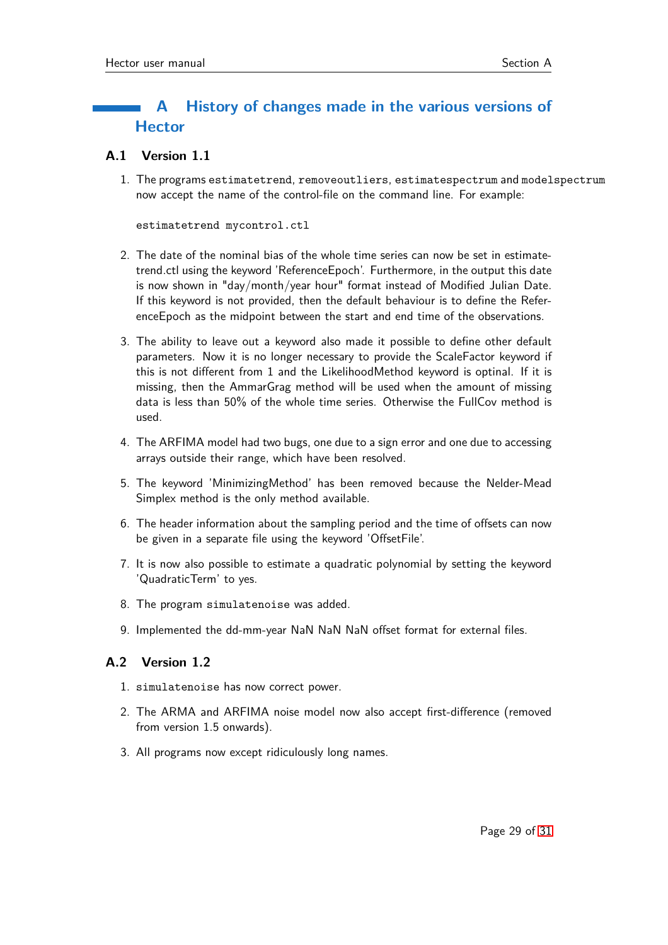## <span id="page-28-0"></span>**A History of changes made in the various versions of Hector**

## <span id="page-28-1"></span>**A.1 Version 1.1**

1. The programs estimatetrend, removeoutliers, estimatespectrum and modelspectrum now accept the name of the control-file on the command line. For example:

```
estimatetrend mycontrol.ctl
```
- 2. The date of the nominal bias of the whole time series can now be set in estimatetrend.ctl using the keyword 'ReferenceEpoch'. Furthermore, in the output this date is now shown in "day/month/year hour" format instead of Modified Julian Date. If this keyword is not provided, then the default behaviour is to define the ReferenceEpoch as the midpoint between the start and end time of the observations.
- 3. The ability to leave out a keyword also made it possible to define other default parameters. Now it is no longer necessary to provide the ScaleFactor keyword if this is not different from 1 and the LikelihoodMethod keyword is optinal. If it is missing, then the AmmarGrag method will be used when the amount of missing data is less than 50% of the whole time series. Otherwise the FullCov method is used.
- 4. The ARFIMA model had two bugs, one due to a sign error and one due to accessing arrays outside their range, which have been resolved.
- 5. The keyword 'MinimizingMethod' has been removed because the Nelder-Mead Simplex method is the only method available.
- 6. The header information about the sampling period and the time of offsets can now be given in a separate file using the keyword 'OffsetFile'.
- 7. It is now also possible to estimate a quadratic polynomial by setting the keyword 'QuadraticTerm' to yes.
- 8. The program simulatenoise was added.
- 9. Implemented the dd-mm-year NaN NaN NaN offset format for external files.

## <span id="page-28-2"></span>**A.2 Version 1.2**

- 1. simulatenoise has now correct power.
- 2. The ARMA and ARFIMA noise model now also accept first-difference (removed from version 1.5 onwards).
- 3. All programs now except ridiculously long names.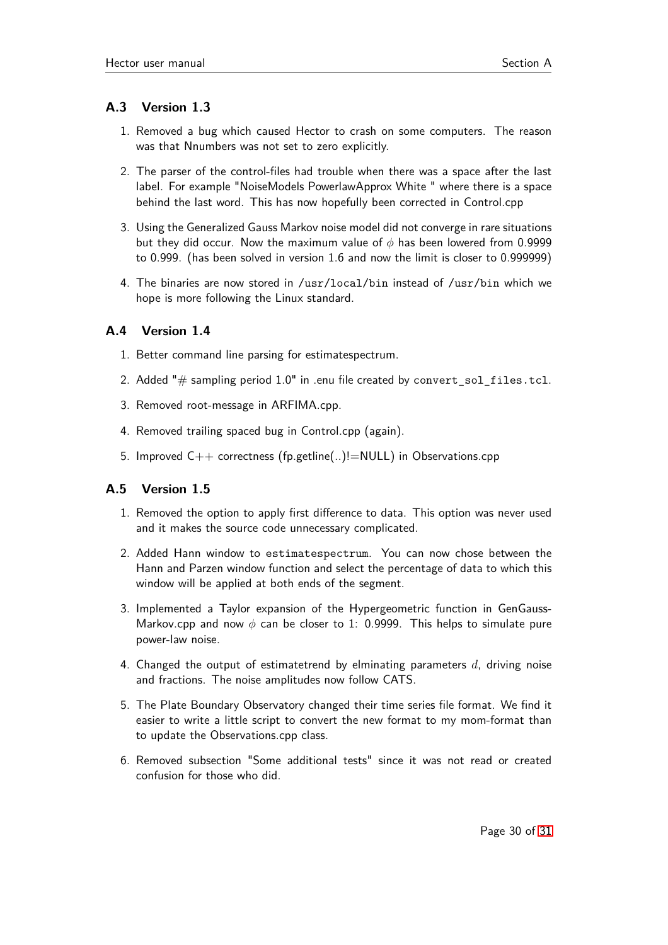## <span id="page-29-0"></span>**A.3 Version 1.3**

- 1. Removed a bug which caused Hector to crash on some computers. The reason was that Nnumbers was not set to zero explicitly.
- 2. The parser of the control-files had trouble when there was a space after the last label. For example "NoiseModels PowerlawApprox White " where there is a space behind the last word. This has now hopefully been corrected in Control.cpp
- 3. Using the Generalized Gauss Markov noise model did not converge in rare situations but they did occur. Now the maximum value of *φ* has been lowered from 0.9999 to 0.999. (has been solved in version 1.6 and now the limit is closer to 0.999999)
- 4. The binaries are now stored in /usr/local/bin instead of /usr/bin which we hope is more following the Linux standard.

## <span id="page-29-1"></span>**A.4 Version 1.4**

- 1. Better command line parsing for estimatespectrum.
- 2. Added " $#$  sampling period  $1.0"$  in .enu file created by convert\_sol\_files.tcl.
- 3. Removed root-message in ARFIMA.cpp.
- 4. Removed trailing spaced bug in Control.cpp (again).
- 5. Improved C++ correctness (fp.getline(..)!=NULL) in Observations.cpp

## <span id="page-29-2"></span>**A.5 Version 1.5**

- 1. Removed the option to apply first difference to data. This option was never used and it makes the source code unnecessary complicated.
- 2. Added Hann window to estimatespectrum. You can now chose between the Hann and Parzen window function and select the percentage of data to which this window will be applied at both ends of the segment.
- 3. Implemented a Taylor expansion of the Hypergeometric function in GenGauss-Markov.cpp and now *φ* can be closer to 1: 0.9999. This helps to simulate pure power-law noise.
- 4. Changed the output of estimatetrend by elminating parameters *d*, driving noise and fractions. The noise amplitudes now follow CATS.
- 5. The Plate Boundary Observatory changed their time series file format. We find it easier to write a little script to convert the new format to my mom-format than to update the Observations.cpp class.
- 6. Removed subsection "Some additional tests" since it was not read or created confusion for those who did.